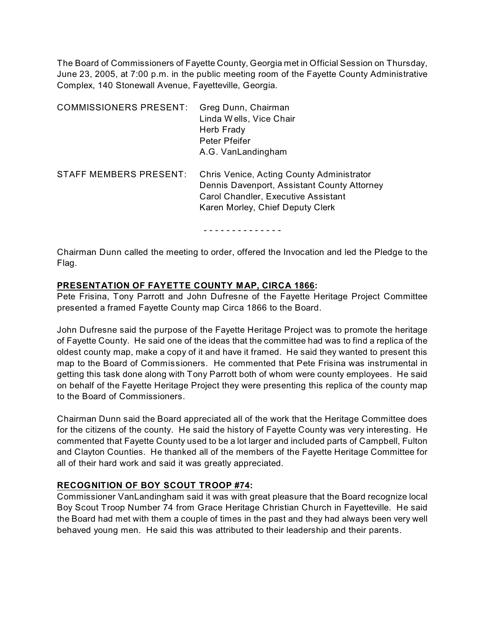The Board of Commissioners of Fayette County, Georgia met in Official Session on Thursday, June 23, 2005, at 7:00 p.m. in the public meeting room of the Fayette County Administrative Complex, 140 Stonewall Avenue, Fayetteville, Georgia.

| <b>COMMISSIONERS PRESENT:</b> | Greg Dunn, Chairman<br>Linda Wells, Vice Chair<br>Herb Frady<br>Peter Pfeifer<br>A.G. VanLandingham                                                                 |
|-------------------------------|---------------------------------------------------------------------------------------------------------------------------------------------------------------------|
| STAFF MEMBERS PRESENT:        | Chris Venice, Acting County Administrator<br>Dennis Davenport, Assistant County Attorney<br>Carol Chandler, Executive Assistant<br>Karen Morley, Chief Deputy Clerk |

- - - - - - - - - - - - - -

Chairman Dunn called the meeting to order, offered the Invocation and led the Pledge to the Flag.

#### **PRESENTATION OF FAYETTE COUNTY MAP, CIRCA 1866:**

Pete Frisina, Tony Parrott and John Dufresne of the Fayette Heritage Project Committee presented a framed Fayette County map Circa 1866 to the Board.

John Dufresne said the purpose of the Fayette Heritage Project was to promote the heritage of Fayette County. He said one of the ideas that the committee had was to find a replica of the oldest county map, make a copy of it and have it framed. He said they wanted to present this map to the Board of Commissioners. He commented that Pete Frisina was instrumental in getting this task done along with Tony Parrott both of whom were county employees. He said on behalf of the Fayette Heritage Project they were presenting this replica of the county map to the Board of Commissioners.

Chairman Dunn said the Board appreciated all of the work that the Heritage Committee does for the citizens of the county. He said the history of Fayette County was very interesting. He commented that Fayette County used to be a lot larger and included parts of Campbell, Fulton and Clayton Counties. He thanked all of the members of the Fayette Heritage Committee for all of their hard work and said it was greatly appreciated.

# **RECOGNITION OF BOY SCOUT TROOP #74:**

Commissioner VanLandingham said it was with great pleasure that the Board recognize local Boy Scout Troop Number 74 from Grace Heritage Christian Church in Fayetteville. He said the Board had met with them a couple of times in the past and they had always been very well behaved young men. He said this was attributed to their leadership and their parents.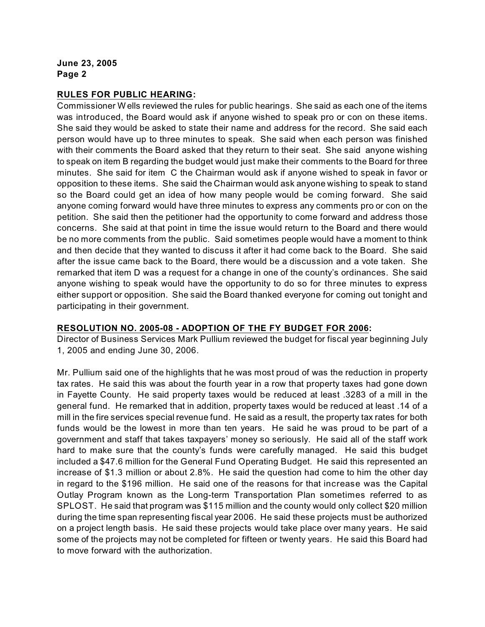#### **RULES FOR PUBLIC HEARING:**

Commissioner W ells reviewed the rules for public hearings. She said as each one of the items was introduced, the Board would ask if anyone wished to speak pro or con on these items. She said they would be asked to state their name and address for the record. She said each person would have up to three minutes to speak. She said when each person was finished with their comments the Board asked that they return to their seat. She said anyone wishing to speak on item B regarding the budget would just make their comments to the Board for three minutes. She said for item C the Chairman would ask if anyone wished to speak in favor or opposition to these items. She said the Chairman would ask anyone wishing to speak to stand so the Board could get an idea of how many people would be coming forward. She said anyone coming forward would have three minutes to express any comments pro or con on the petition. She said then the petitioner had the opportunity to come forward and address those concerns. She said at that point in time the issue would return to the Board and there would be no more comments from the public. Said sometimes people would have a moment to think and then decide that they wanted to discuss it after it had come back to the Board. She said after the issue came back to the Board, there would be a discussion and a vote taken. She remarked that item D was a request for a change in one of the county's ordinances. She said anyone wishing to speak would have the opportunity to do so for three minutes to express either support or opposition. She said the Board thanked everyone for coming out tonight and participating in their government.

#### **RESOLUTION NO. 2005-08 - ADOPTION OF THE FY BUDGET FOR 2006:**

Director of Business Services Mark Pullium reviewed the budget for fiscal year beginning July 1, 2005 and ending June 30, 2006.

Mr. Pullium said one of the highlights that he was most proud of was the reduction in property tax rates. He said this was about the fourth year in a row that property taxes had gone down in Fayette County. He said property taxes would be reduced at least .3283 of a mill in the general fund. He remarked that in addition, property taxes would be reduced at least .14 of a mill in the fire services special revenue fund. He said as a result, the property tax rates for both funds would be the lowest in more than ten years. He said he was proud to be part of a government and staff that takes taxpayers' money so seriously. He said all of the staff work hard to make sure that the county's funds were carefully managed. He said this budget included a \$47.6 million for the General Fund Operating Budget. He said this represented an increase of \$1.3 million or about 2.8%. He said the question had come to him the other day in regard to the \$196 million. He said one of the reasons for that increase was the Capital Outlay Program known as the Long-term Transportation Plan sometimes referred to as SPLOST. He said that program was \$115 million and the county would only collect \$20 million during the time span representing fiscal year 2006. He said these projects must be authorized on a project length basis. He said these projects would take place over many years. He said some of the projects may not be completed for fifteen or twenty years. He said this Board had to move forward with the authorization.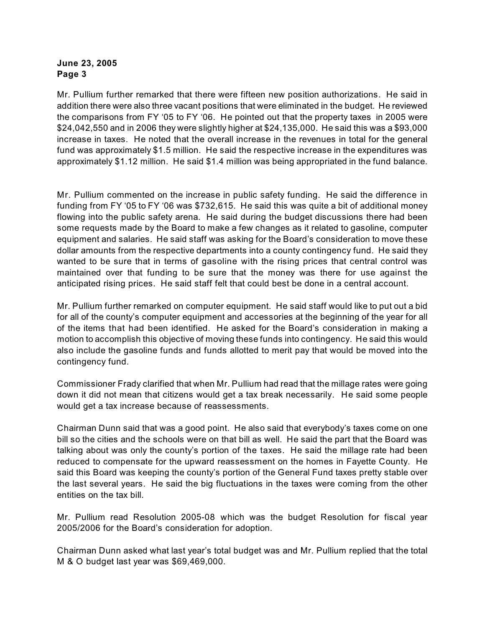Mr. Pullium further remarked that there were fifteen new position authorizations. He said in addition there were also three vacant positions that were eliminated in the budget. He reviewed the comparisons from FY '05 to FY '06. He pointed out that the property taxes in 2005 were \$24,042,550 and in 2006 they were slightly higher at \$24,135,000. He said this was a \$93,000 increase in taxes. He noted that the overall increase in the revenues in total for the general fund was approximately \$1.5 million. He said the respective increase in the expenditures was approximately \$1.12 million. He said \$1.4 million was being appropriated in the fund balance.

Mr. Pullium commented on the increase in public safety funding. He said the difference in funding from FY '05 to FY '06 was \$732,615. He said this was quite a bit of additional money flowing into the public safety arena. He said during the budget discussions there had been some requests made by the Board to make a few changes as it related to gasoline, computer equipment and salaries. He said staff was asking for the Board's consideration to move these dollar amounts from the respective departments into a county contingency fund. He said they wanted to be sure that in terms of gasoline with the rising prices that central control was maintained over that funding to be sure that the money was there for use against the anticipated rising prices. He said staff felt that could best be done in a central account.

Mr. Pullium further remarked on computer equipment. He said staff would like to put out a bid for all of the county's computer equipment and accessories at the beginning of the year for all of the items that had been identified. He asked for the Board's consideration in making a motion to accomplish this objective of moving these funds into contingency. He said this would also include the gasoline funds and funds allotted to merit pay that would be moved into the contingency fund.

Commissioner Frady clarified that when Mr. Pullium had read that the millage rates were going down it did not mean that citizens would get a tax break necessarily. He said some people would get a tax increase because of reassessments.

Chairman Dunn said that was a good point. He also said that everybody's taxes come on one bill so the cities and the schools were on that bill as well. He said the part that the Board was talking about was only the county's portion of the taxes. He said the millage rate had been reduced to compensate for the upward reassessment on the homes in Fayette County. He said this Board was keeping the county's portion of the General Fund taxes pretty stable over the last several years. He said the big fluctuations in the taxes were coming from the other entities on the tax bill.

Mr. Pullium read Resolution 2005-08 which was the budget Resolution for fiscal year 2005/2006 for the Board's consideration for adoption.

Chairman Dunn asked what last year's total budget was and Mr. Pullium replied that the total M & O budget last year was \$69,469,000.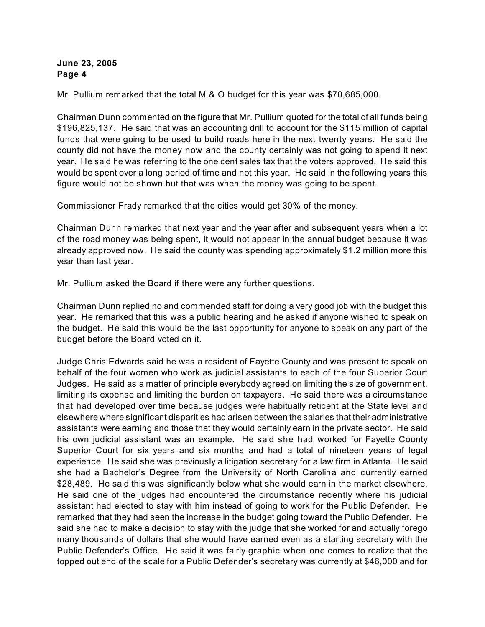Mr. Pullium remarked that the total M & O budget for this year was \$70,685,000.

Chairman Dunn commented on the figure that Mr. Pullium quoted for the total of all funds being \$196,825,137. He said that was an accounting drill to account for the \$115 million of capital funds that were going to be used to build roads here in the next twenty years. He said the county did not have the money now and the county certainly was not going to spend it next year. He said he was referring to the one cent sales tax that the voters approved. He said this would be spent over a long period of time and not this year. He said in the following years this figure would not be shown but that was when the money was going to be spent.

Commissioner Frady remarked that the cities would get 30% of the money.

Chairman Dunn remarked that next year and the year after and subsequent years when a lot of the road money was being spent, it would not appear in the annual budget because it was already approved now. He said the county was spending approximately \$1.2 million more this year than last year.

Mr. Pullium asked the Board if there were any further questions.

Chairman Dunn replied no and commended staff for doing a very good job with the budget this year. He remarked that this was a public hearing and he asked if anyone wished to speak on the budget. He said this would be the last opportunity for anyone to speak on any part of the budget before the Board voted on it.

Judge Chris Edwards said he was a resident of Fayette County and was present to speak on behalf of the four women who work as judicial assistants to each of the four Superior Court Judges. He said as a matter of principle everybody agreed on limiting the size of government, limiting its expense and limiting the burden on taxpayers. He said there was a circumstance that had developed over time because judges were habitually reticent at the State level and elsewhere where significant disparities had arisen between the salaries that their administrative assistants were earning and those that they would certainly earn in the private sector. He said his own judicial assistant was an example. He said she had worked for Fayette County Superior Court for six years and six months and had a total of nineteen years of legal experience. He said she was previously a litigation secretary for a law firm in Atlanta. He said she had a Bachelor's Degree from the University of North Carolina and currently earned \$28,489. He said this was significantly below what she would earn in the market elsewhere. He said one of the judges had encountered the circumstance recently where his judicial assistant had elected to stay with him instead of going to work for the Public Defender. He remarked that they had seen the increase in the budget going toward the Public Defender. He said she had to make a decision to stay with the judge that she worked for and actually forego many thousands of dollars that she would have earned even as a starting secretary with the Public Defender's Office. He said it was fairly graphic when one comes to realize that the topped out end of the scale for a Public Defender's secretary was currently at \$46,000 and for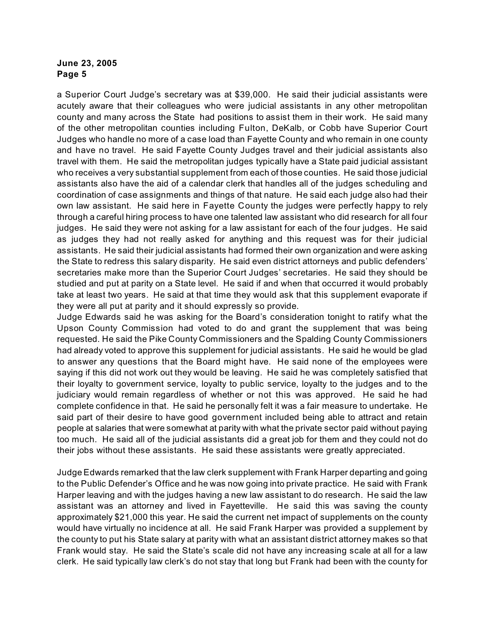a Superior Court Judge's secretary was at \$39,000. He said their judicial assistants were acutely aware that their colleagues who were judicial assistants in any other metropolitan county and many across the State had positions to assist them in their work. He said many of the other metropolitan counties including Fulton, DeKalb, or Cobb have Superior Court Judges who handle no more of a case load than Fayette County and who remain in one county and have no travel. He said Fayette County Judges travel and their judicial assistants also travel with them. He said the metropolitan judges typically have a State paid judicial assistant who receives a very substantial supplement from each of those counties. He said those judicial assistants also have the aid of a calendar clerk that handles all of the judges scheduling and coordination of case assignments and things of that nature. He said each judge also had their own law assistant. He said here in Fayette County the judges were perfectly happy to rely through a careful hiring process to have one talented law assistant who did research for all four judges. He said they were not asking for a law assistant for each of the four judges. He said as judges they had not really asked for anything and this request was for their judicial assistants. He said their judicial assistants had formed their own organization and were asking the State to redress this salary disparity. He said even district attorneys and public defenders' secretaries make more than the Superior Court Judges' secretaries. He said they should be studied and put at parity on a State level. He said if and when that occurred it would probably take at least two years. He said at that time they would ask that this supplement evaporate if they were all put at parity and it should expressly so provide.

Judge Edwards said he was asking for the Board's consideration tonight to ratify what the Upson County Commission had voted to do and grant the supplement that was being requested. He said the Pike County Commissioners and the Spalding County Commissioners had already voted to approve this supplement for judicial assistants. He said he would be glad to answer any questions that the Board might have. He said none of the employees were saying if this did not work out they would be leaving. He said he was completely satisfied that their loyalty to government service, loyalty to public service, loyalty to the judges and to the judiciary would remain regardless of whether or not this was approved. He said he had complete confidence in that. He said he personally felt it was a fair measure to undertake. He said part of their desire to have good government included being able to attract and retain people at salaries that were somewhat at parity with what the private sector paid without paying too much. He said all of the judicial assistants did a great job for them and they could not do their jobs without these assistants. He said these assistants were greatly appreciated.

Judge Edwards remarked that the law clerk supplement with Frank Harper departing and going to the Public Defender's Office and he was now going into private practice. He said with Frank Harper leaving and with the judges having a new law assistant to do research. He said the law assistant was an attorney and lived in Fayetteville. He said this was saving the county approximately \$21,000 this year. He said the current net impact of supplements on the county would have virtually no incidence at all. He said Frank Harper was provided a supplement by the county to put his State salary at parity with what an assistant district attorney makes so that Frank would stay. He said the State's scale did not have any increasing scale at all for a law clerk. He said typically law clerk's do not stay that long but Frank had been with the county for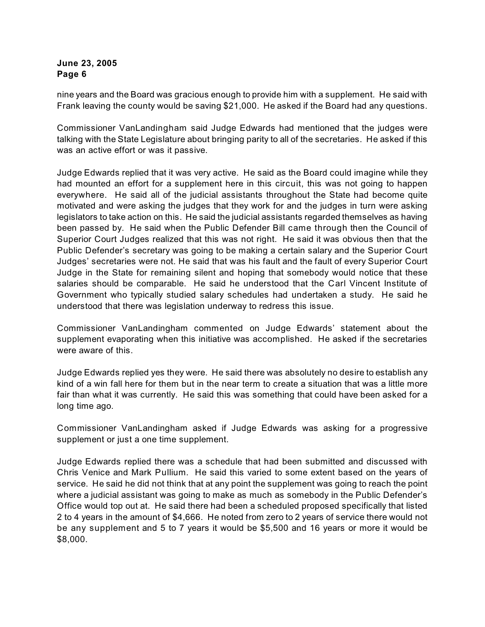nine years and the Board was gracious enough to provide him with a supplement. He said with Frank leaving the county would be saving \$21,000. He asked if the Board had any questions.

Commissioner VanLandingham said Judge Edwards had mentioned that the judges were talking with the State Legislature about bringing parity to all of the secretaries. He asked if this was an active effort or was it passive.

Judge Edwards replied that it was very active. He said as the Board could imagine while they had mounted an effort for a supplement here in this circuit, this was not going to happen everywhere. He said all of the judicial assistants throughout the State had become quite motivated and were asking the judges that they work for and the judges in turn were asking legislators to take action on this. He said the judicial assistants regarded themselves as having been passed by. He said when the Public Defender Bill came through then the Council of Superior Court Judges realized that this was not right. He said it was obvious then that the Public Defender's secretary was going to be making a certain salary and the Superior Court Judges' secretaries were not. He said that was his fault and the fault of every Superior Court Judge in the State for remaining silent and hoping that somebody would notice that these salaries should be comparable. He said he understood that the Carl Vincent Institute of Government who typically studied salary schedules had undertaken a study. He said he understood that there was legislation underway to redress this issue.

Commissioner VanLandingham commented on Judge Edwards' statement about the supplement evaporating when this initiative was accomplished. He asked if the secretaries were aware of this.

Judge Edwards replied yes they were. He said there was absolutely no desire to establish any kind of a win fall here for them but in the near term to create a situation that was a little more fair than what it was currently. He said this was something that could have been asked for a long time ago.

Commissioner VanLandingham asked if Judge Edwards was asking for a progressive supplement or just a one time supplement.

Judge Edwards replied there was a schedule that had been submitted and discussed with Chris Venice and Mark Pullium. He said this varied to some extent based on the years of service. He said he did not think that at any point the supplement was going to reach the point where a judicial assistant was going to make as much as somebody in the Public Defender's Office would top out at. He said there had been a scheduled proposed specifically that listed 2 to 4 years in the amount of \$4,666. He noted from zero to 2 years of service there would not be any supplement and 5 to 7 years it would be \$5,500 and 16 years or more it would be \$8,000.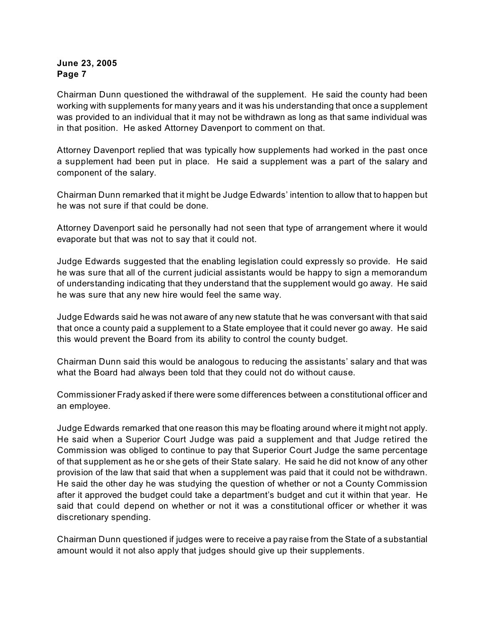Chairman Dunn questioned the withdrawal of the supplement. He said the county had been working with supplements for many years and it was his understanding that once a supplement was provided to an individual that it may not be withdrawn as long as that same individual was in that position. He asked Attorney Davenport to comment on that.

Attorney Davenport replied that was typically how supplements had worked in the past once a supplement had been put in place. He said a supplement was a part of the salary and component of the salary.

Chairman Dunn remarked that it might be Judge Edwards' intention to allow that to happen but he was not sure if that could be done.

Attorney Davenport said he personally had not seen that type of arrangement where it would evaporate but that was not to say that it could not.

Judge Edwards suggested that the enabling legislation could expressly so provide. He said he was sure that all of the current judicial assistants would be happy to sign a memorandum of understanding indicating that they understand that the supplement would go away. He said he was sure that any new hire would feel the same way.

Judge Edwards said he was not aware of any new statute that he was conversant with that said that once a county paid a supplement to a State employee that it could never go away. He said this would prevent the Board from its ability to control the county budget.

Chairman Dunn said this would be analogous to reducing the assistants' salary and that was what the Board had always been told that they could not do without cause.

Commissioner Frady asked if there were some differences between a constitutional officer and an employee.

Judge Edwards remarked that one reason this may be floating around where it might not apply. He said when a Superior Court Judge was paid a supplement and that Judge retired the Commission was obliged to continue to pay that Superior Court Judge the same percentage of that supplement as he or she gets of their State salary. He said he did not know of any other provision of the law that said that when a supplement was paid that it could not be withdrawn. He said the other day he was studying the question of whether or not a County Commission after it approved the budget could take a department's budget and cut it within that year. He said that could depend on whether or not it was a constitutional officer or whether it was discretionary spending.

Chairman Dunn questioned if judges were to receive a pay raise from the State of a substantial amount would it not also apply that judges should give up their supplements.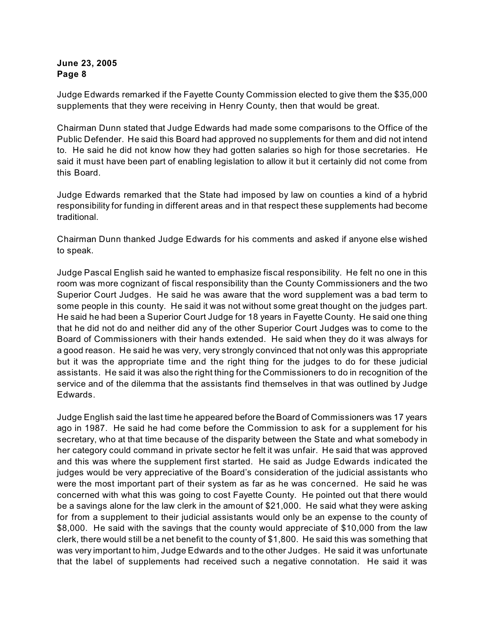Judge Edwards remarked if the Fayette County Commission elected to give them the \$35,000 supplements that they were receiving in Henry County, then that would be great.

Chairman Dunn stated that Judge Edwards had made some comparisons to the Office of the Public Defender. He said this Board had approved no supplements for them and did not intend to. He said he did not know how they had gotten salaries so high for those secretaries. He said it must have been part of enabling legislation to allow it but it certainly did not come from this Board.

Judge Edwards remarked that the State had imposed by law on counties a kind of a hybrid responsibility for funding in different areas and in that respect these supplements had become traditional.

Chairman Dunn thanked Judge Edwards for his comments and asked if anyone else wished to speak.

Judge Pascal English said he wanted to emphasize fiscal responsibility. He felt no one in this room was more cognizant of fiscal responsibility than the County Commissioners and the two Superior Court Judges. He said he was aware that the word supplement was a bad term to some people in this county. He said it was not without some great thought on the judges part. He said he had been a Superior Court Judge for 18 years in Fayette County. He said one thing that he did not do and neither did any of the other Superior Court Judges was to come to the Board of Commissioners with their hands extended. He said when they do it was always for a good reason. He said he was very, very strongly convinced that not only was this appropriate but it was the appropriate time and the right thing for the judges to do for these judicial assistants. He said it was also the right thing for the Commissioners to do in recognition of the service and of the dilemma that the assistants find themselves in that was outlined by Judge Edwards.

Judge English said the last time he appeared before theBoard of Commissioners was 17 years ago in 1987. He said he had come before the Commission to ask for a supplement for his secretary, who at that time because of the disparity between the State and what somebody in her category could command in private sector he felt it was unfair. He said that was approved and this was where the supplement first started. He said as Judge Edwards indicated the judges would be very appreciative of the Board's consideration of the judicial assistants who were the most important part of their system as far as he was concerned. He said he was concerned with what this was going to cost Fayette County. He pointed out that there would be a savings alone for the law clerk in the amount of \$21,000. He said what they were asking for from a supplement to their judicial assistants would only be an expense to the county of \$8,000. He said with the savings that the county would appreciate of \$10,000 from the law clerk, there would still be a net benefit to the county of \$1,800. He said this was something that was very important to him, Judge Edwards and to the other Judges. He said it was unfortunate that the label of supplements had received such a negative connotation. He said it was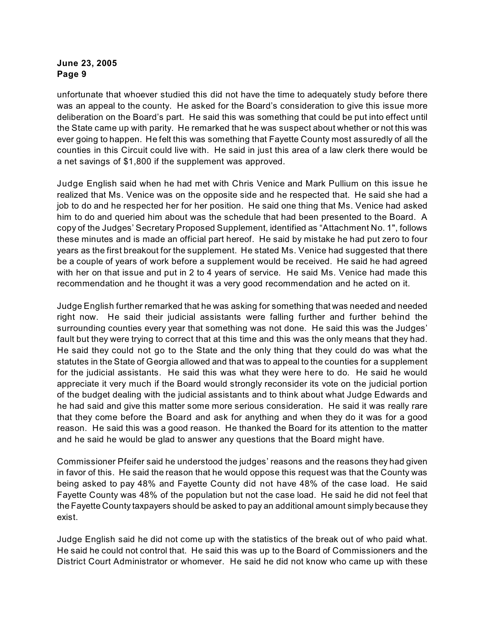unfortunate that whoever studied this did not have the time to adequately study before there was an appeal to the county. He asked for the Board's consideration to give this issue more deliberation on the Board's part. He said this was something that could be put into effect until the State came up with parity. He remarked that he was suspect about whether or not this was ever going to happen. He felt this was something that Fayette County most assuredly of all the counties in this Circuit could live with. He said in just this area of a law clerk there would be a net savings of \$1,800 if the supplement was approved.

Judge English said when he had met with Chris Venice and Mark Pullium on this issue he realized that Ms. Venice was on the opposite side and he respected that. He said she had a job to do and he respected her for her position. He said one thing that Ms. Venice had asked him to do and queried him about was the schedule that had been presented to the Board. A copy of the Judges' Secretary Proposed Supplement, identified as "Attachment No. 1", follows these minutes and is made an official part hereof. He said by mistake he had put zero to four years as the first breakout for the supplement. He stated Ms. Venice had suggested that there be a couple of years of work before a supplement would be received. He said he had agreed with her on that issue and put in 2 to 4 years of service. He said Ms. Venice had made this recommendation and he thought it was a very good recommendation and he acted on it.

Judge English further remarked that he was asking for something that was needed and needed right now. He said their judicial assistants were falling further and further behind the surrounding counties every year that something was not done. He said this was the Judges' fault but they were trying to correct that at this time and this was the only means that they had. He said they could not go to the State and the only thing that they could do was what the statutes in the State of Georgia allowed and that was to appeal to the counties for a supplement for the judicial assistants. He said this was what they were here to do. He said he would appreciate it very much if the Board would strongly reconsider its vote on the judicial portion of the budget dealing with the judicial assistants and to think about what Judge Edwards and he had said and give this matter some more serious consideration. He said it was really rare that they come before the Board and ask for anything and when they do it was for a good reason. He said this was a good reason. He thanked the Board for its attention to the matter and he said he would be glad to answer any questions that the Board might have.

Commissioner Pfeifer said he understood the judges' reasons and the reasons they had given in favor of this. He said the reason that he would oppose this request was that the County was being asked to pay 48% and Fayette County did not have 48% of the case load. He said Fayette County was 48% of the population but not the case load. He said he did not feel that the Fayette County taxpayers should be asked to pay an additional amount simply because they exist.

Judge English said he did not come up with the statistics of the break out of who paid what. He said he could not control that. He said this was up to the Board of Commissioners and the District Court Administrator or whomever. He said he did not know who came up with these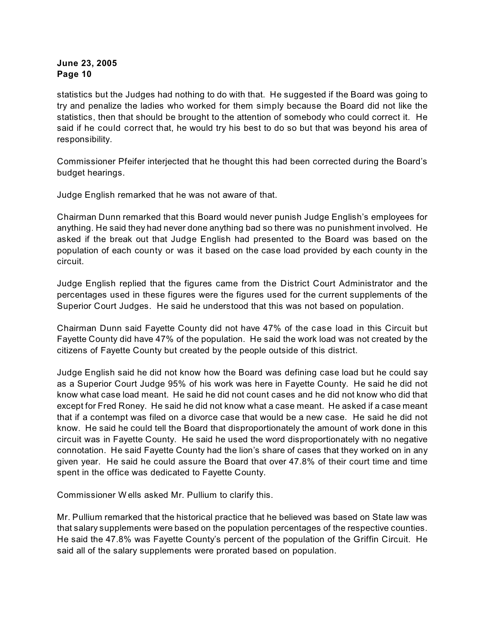statistics but the Judges had nothing to do with that. He suggested if the Board was going to try and penalize the ladies who worked for them simply because the Board did not like the statistics, then that should be brought to the attention of somebody who could correct it. He said if he could correct that, he would try his best to do so but that was beyond his area of responsibility.

Commissioner Pfeifer interjected that he thought this had been corrected during the Board's budget hearings.

Judge English remarked that he was not aware of that.

Chairman Dunn remarked that this Board would never punish Judge English's employees for anything. He said they had never done anything bad so there was no punishment involved. He asked if the break out that Judge English had presented to the Board was based on the population of each county or was it based on the case load provided by each county in the circuit.

Judge English replied that the figures came from the District Court Administrator and the percentages used in these figures were the figures used for the current supplements of the Superior Court Judges. He said he understood that this was not based on population.

Chairman Dunn said Fayette County did not have 47% of the case load in this Circuit but Fayette County did have 47% of the population. He said the work load was not created by the citizens of Fayette County but created by the people outside of this district.

Judge English said he did not know how the Board was defining case load but he could say as a Superior Court Judge 95% of his work was here in Fayette County. He said he did not know what case load meant. He said he did not count cases and he did not know who did that except for Fred Roney. He said he did not know what a case meant. He asked if a case meant that if a contempt was filed on a divorce case that would be a new case. He said he did not know. He said he could tell the Board that disproportionately the amount of work done in this circuit was in Fayette County. He said he used the word disproportionately with no negative connotation. He said Fayette County had the lion's share of cases that they worked on in any given year. He said he could assure the Board that over 47.8% of their court time and time spent in the office was dedicated to Fayette County.

Commissioner W ells asked Mr. Pullium to clarify this.

Mr. Pullium remarked that the historical practice that he believed was based on State law was that salary supplements were based on the population percentages of the respective counties. He said the 47.8% was Fayette County's percent of the population of the Griffin Circuit. He said all of the salary supplements were prorated based on population.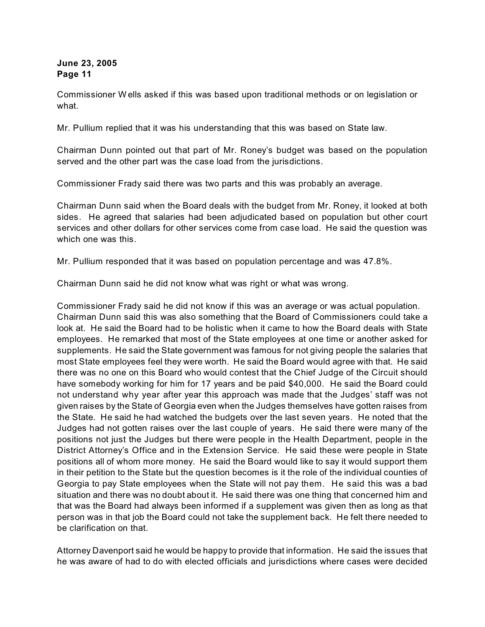Commissioner W ells asked if this was based upon traditional methods or on legislation or what.

Mr. Pullium replied that it was his understanding that this was based on State law.

Chairman Dunn pointed out that part of Mr. Roney's budget was based on the population served and the other part was the case load from the jurisdictions.

Commissioner Frady said there was two parts and this was probably an average.

Chairman Dunn said when the Board deals with the budget from Mr. Roney, it looked at both sides. He agreed that salaries had been adjudicated based on population but other court services and other dollars for other services come from case load. He said the question was which one was this.

Mr. Pullium responded that it was based on population percentage and was 47.8%.

Chairman Dunn said he did not know what was right or what was wrong.

Commissioner Frady said he did not know if this was an average or was actual population. Chairman Dunn said this was also something that the Board of Commissioners could take a look at. He said the Board had to be holistic when it came to how the Board deals with State employees. He remarked that most of the State employees at one time or another asked for supplements. He said the State government was famous for not giving people the salaries that most State employees feel they were worth. He said the Board would agree with that. He said there was no one on this Board who would contest that the Chief Judge of the Circuit should have somebody working for him for 17 years and be paid \$40,000. He said the Board could not understand why year after year this approach was made that the Judges' staff was not given raises by the State of Georgia even when the Judges themselves have gotten raises from the State. He said he had watched the budgets over the last seven years. He noted that the Judges had not gotten raises over the last couple of years. He said there were many of the positions not just the Judges but there were people in the Health Department, people in the District Attorney's Office and in the Extension Service. He said these were people in State positions all of whom more money. He said the Board would like to say it would support them in their petition to the State but the question becomes is it the role of the individual counties of Georgia to pay State employees when the State will not pay them. He said this was a bad situation and there was no doubt about it. He said there was one thing that concerned him and that was the Board had always been informed if a supplement was given then as long as that person was in that job the Board could not take the supplement back. He felt there needed to be clarification on that.

Attorney Davenport said he would be happy to provide that information. He said the issues that he was aware of had to do with elected officials and jurisdictions where cases were decided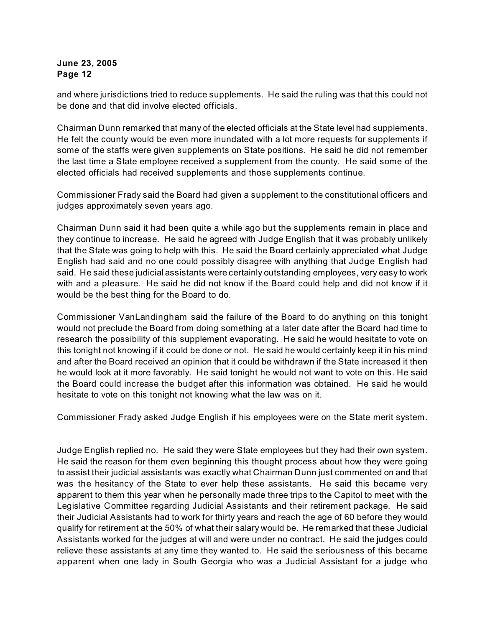and where jurisdictions tried to reduce supplements. He said the ruling was that this could not be done and that did involve elected officials.

Chairman Dunn remarked that many of the elected officials at the State level had supplements. He felt the county would be even more inundated with a lot more requests for supplements if some of the staffs were given supplements on State positions. He said he did not remember the last time a State employee received a supplement from the county. He said some of the elected officials had received supplements and those supplements continue.

Commissioner Frady said the Board had given a supplement to the constitutional officers and judges approximately seven years ago.

Chairman Dunn said it had been quite a while ago but the supplements remain in place and they continue to increase. He said he agreed with Judge English that it was probably unlikely that the State was going to help with this. He said the Board certainly appreciated what Judge English had said and no one could possibly disagree with anything that Judge English had said. He said these judicial assistants were certainly outstanding employees, very easy to work with and a pleasure. He said he did not know if the Board could help and did not know if it would be the best thing for the Board to do.

Commissioner VanLandingham said the failure of the Board to do anything on this tonight would not preclude the Board from doing something at a later date after the Board had time to research the possibility of this supplement evaporating. He said he would hesitate to vote on this tonight not knowing if it could be done or not. He said he would certainly keep it in his mind and after the Board received an opinion that it could be withdrawn if the State increased it then he would look at it more favorably. He said tonight he would not want to vote on this. He said the Board could increase the budget after this information was obtained. He said he would hesitate to vote on this tonight not knowing what the law was on it.

Commissioner Frady asked Judge English if his employees were on the State merit system.

Judge English replied no. He said they were State employees but they had their own system. He said the reason for them even beginning this thought process about how they were going to assist their judicial assistants was exactly what Chairman Dunn just commented on and that was the hesitancy of the State to ever help these assistants. He said this became very apparent to them this year when he personally made three trips to the Capitol to meet with the Legislative Committee regarding Judicial Assistants and their retirement package. He said their Judicial Assistants had to work for thirty years and reach the age of 60 before they would qualify for retirement at the 50% of what their salary would be. He remarked that these Judicial Assistants worked for the judges at will and were under no contract. He said the judges could relieve these assistants at any time they wanted to. He said the seriousness of this became apparent when one lady in South Georgia who was a Judicial Assistant for a judge who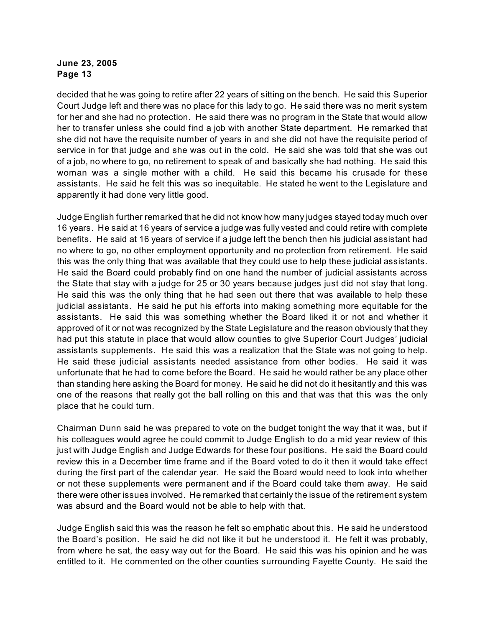decided that he was going to retire after 22 years of sitting on the bench. He said this Superior Court Judge left and there was no place for this lady to go. He said there was no merit system for her and she had no protection. He said there was no program in the State that would allow her to transfer unless she could find a job with another State department. He remarked that she did not have the requisite number of years in and she did not have the requisite period of service in for that judge and she was out in the cold. He said she was told that she was out of a job, no where to go, no retirement to speak of and basically she had nothing. He said this woman was a single mother with a child. He said this became his crusade for these assistants. He said he felt this was so inequitable. He stated he went to the Legislature and apparently it had done very little good.

Judge English further remarked that he did not know how many judges stayed today much over 16 years. He said at 16 years of service a judge was fully vested and could retire with complete benefits. He said at 16 years of service if a judge left the bench then his judicial assistant had no where to go, no other employment opportunity and no protection from retirement. He said this was the only thing that was available that they could use to help these judicial assistants. He said the Board could probably find on one hand the number of judicial assistants across the State that stay with a judge for 25 or 30 years because judges just did not stay that long. He said this was the only thing that he had seen out there that was available to help these judicial assistants. He said he put his efforts into making something more equitable for the assistants. He said this was something whether the Board liked it or not and whether it approved of it or not was recognized by the State Legislature and the reason obviously that they had put this statute in place that would allow counties to give Superior Court Judges' judicial assistants supplements. He said this was a realization that the State was not going to help. He said these judicial assistants needed assistance from other bodies. He said it was unfortunate that he had to come before the Board. He said he would rather be any place other than standing here asking the Board for money. He said he did not do it hesitantly and this was one of the reasons that really got the ball rolling on this and that was that this was the only place that he could turn.

Chairman Dunn said he was prepared to vote on the budget tonight the way that it was, but if his colleagues would agree he could commit to Judge English to do a mid year review of this just with Judge English and Judge Edwards for these four positions. He said the Board could review this in a December time frame and if the Board voted to do it then it would take effect during the first part of the calendar year. He said the Board would need to look into whether or not these supplements were permanent and if the Board could take them away. He said there were other issues involved. He remarked that certainly the issue of the retirement system was absurd and the Board would not be able to help with that.

Judge English said this was the reason he felt so emphatic about this. He said he understood the Board's position. He said he did not like it but he understood it. He felt it was probably, from where he sat, the easy way out for the Board. He said this was his opinion and he was entitled to it. He commented on the other counties surrounding Fayette County. He said the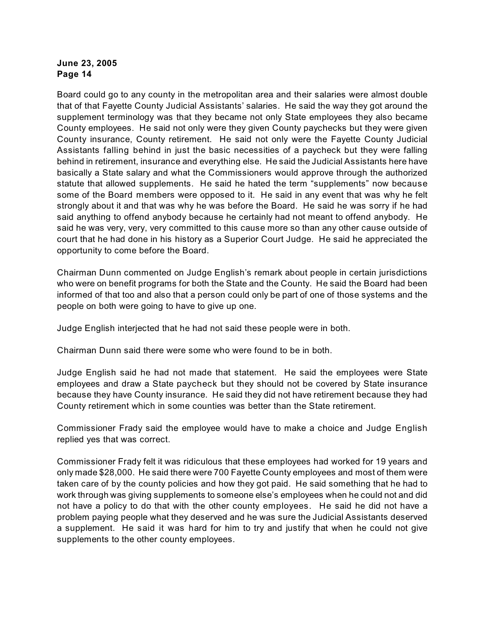Board could go to any county in the metropolitan area and their salaries were almost double that of that Fayette County Judicial Assistants' salaries. He said the way they got around the supplement terminology was that they became not only State employees they also became County employees. He said not only were they given County paychecks but they were given County insurance, County retirement. He said not only were the Fayette County Judicial Assistants falling behind in just the basic necessities of a paycheck but they were falling behind in retirement, insurance and everything else. He said the Judicial Assistants here have basically a State salary and what the Commissioners would approve through the authorized statute that allowed supplements. He said he hated the term "supplements" now because some of the Board members were opposed to it. He said in any event that was why he felt strongly about it and that was why he was before the Board. He said he was sorry if he had said anything to offend anybody because he certainly had not meant to offend anybody. He said he was very, very, very committed to this cause more so than any other cause outside of court that he had done in his history as a Superior Court Judge. He said he appreciated the opportunity to come before the Board.

Chairman Dunn commented on Judge English's remark about people in certain jurisdictions who were on benefit programs for both the State and the County. He said the Board had been informed of that too and also that a person could only be part of one of those systems and the people on both were going to have to give up one.

Judge English interjected that he had not said these people were in both.

Chairman Dunn said there were some who were found to be in both.

Judge English said he had not made that statement. He said the employees were State employees and draw a State paycheck but they should not be covered by State insurance because they have County insurance. He said they did not have retirement because they had County retirement which in some counties was better than the State retirement.

Commissioner Frady said the employee would have to make a choice and Judge English replied yes that was correct.

Commissioner Frady felt it was ridiculous that these employees had worked for 19 years and only made \$28,000. He said there were 700 Fayette County employees and most of them were taken care of by the county policies and how they got paid. He said something that he had to work through was giving supplements to someone else's employees when he could not and did not have a policy to do that with the other county employees. He said he did not have a problem paying people what they deserved and he was sure the Judicial Assistants deserved a supplement. He said it was hard for him to try and justify that when he could not give supplements to the other county employees.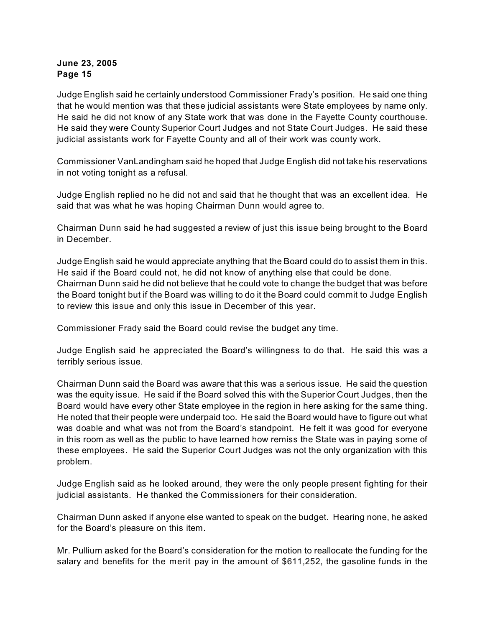Judge English said he certainly understood Commissioner Frady's position. He said one thing that he would mention was that these judicial assistants were State employees by name only. He said he did not know of any State work that was done in the Fayette County courthouse. He said they were County Superior Court Judges and not State Court Judges. He said these judicial assistants work for Fayette County and all of their work was county work.

Commissioner VanLandingham said he hoped that Judge English did not take his reservations in not voting tonight as a refusal.

Judge English replied no he did not and said that he thought that was an excellent idea. He said that was what he was hoping Chairman Dunn would agree to.

Chairman Dunn said he had suggested a review of just this issue being brought to the Board in December.

Judge English said he would appreciate anything that the Board could do to assist them in this. He said if the Board could not, he did not know of anything else that could be done. Chairman Dunn said he did not believe that he could vote to change the budget that was before the Board tonight but if the Board was willing to do it the Board could commit to Judge English to review this issue and only this issue in December of this year.

Commissioner Frady said the Board could revise the budget any time.

Judge English said he appreciated the Board's willingness to do that. He said this was a terribly serious issue.

Chairman Dunn said the Board was aware that this was a serious issue. He said the question was the equity issue. He said if the Board solved this with the Superior Court Judges, then the Board would have every other State employee in the region in here asking for the same thing. He noted that their people were underpaid too. He said the Board would have to figure out what was doable and what was not from the Board's standpoint. He felt it was good for everyone in this room as well as the public to have learned how remiss the State was in paying some of these employees. He said the Superior Court Judges was not the only organization with this problem.

Judge English said as he looked around, they were the only people present fighting for their judicial assistants. He thanked the Commissioners for their consideration.

Chairman Dunn asked if anyone else wanted to speak on the budget. Hearing none, he asked for the Board's pleasure on this item.

Mr. Pullium asked for the Board's consideration for the motion to reallocate the funding for the salary and benefits for the merit pay in the amount of \$611,252, the gasoline funds in the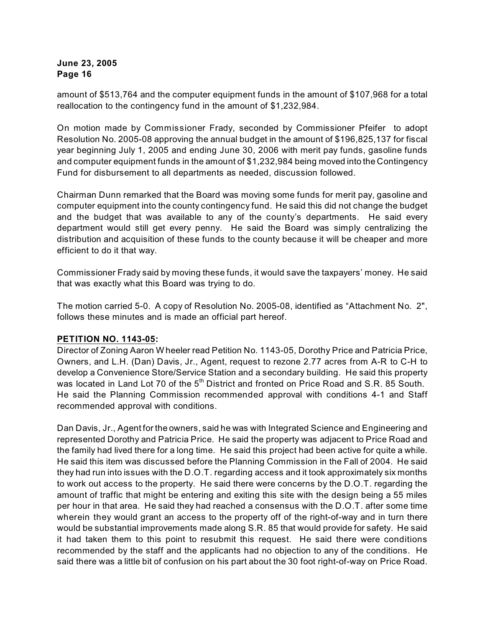amount of \$513,764 and the computer equipment funds in the amount of \$107,968 for a total reallocation to the contingency fund in the amount of \$1,232,984.

On motion made by Commissioner Frady, seconded by Commissioner Pfeifer to adopt Resolution No. 2005-08 approving the annual budget in the amount of \$196,825,137 for fiscal year beginning July 1, 2005 and ending June 30, 2006 with merit pay funds, gasoline funds and computer equipment funds in the amount of \$1,232,984 being moved into the Contingency Fund for disbursement to all departments as needed, discussion followed.

Chairman Dunn remarked that the Board was moving some funds for merit pay, gasoline and computer equipment into the county contingency fund. He said this did not change the budget and the budget that was available to any of the county's departments. He said every department would still get every penny. He said the Board was simply centralizing the distribution and acquisition of these funds to the county because it will be cheaper and more efficient to do it that way.

Commissioner Frady said by moving these funds, it would save the taxpayers' money. He said that was exactly what this Board was trying to do.

The motion carried 5-0. A copy of Resolution No. 2005-08, identified as "Attachment No. 2", follows these minutes and is made an official part hereof.

# **PETITION NO. 1143-05:**

Director of Zoning Aaron W heeler read Petition No. 1143-05, Dorothy Price and Patricia Price, Owners, and L.H. (Dan) Davis, Jr., Agent, request to rezone 2.77 acres from A-R to C-H to develop a Convenience Store/Service Station and a secondary building. He said this property was located in Land Lot 70 of the  $5<sup>th</sup>$  District and fronted on Price Road and S.R. 85 South. He said the Planning Commission recommended approval with conditions 4-1 and Staff recommended approval with conditions.

Dan Davis, Jr., Agent for the owners, said he was with Integrated Science and Engineering and represented Dorothy and Patricia Price. He said the property was adjacent to Price Road and the family had lived there for a long time. He said this project had been active for quite a while. He said this item was discussed before the Planning Commission in the Fall of 2004. He said they had run into issues with the D.O.T. regarding access and it took approximately six months to work out access to the property. He said there were concerns by the D.O.T. regarding the amount of traffic that might be entering and exiting this site with the design being a 55 miles per hour in that area. He said they had reached a consensus with the D.O.T. after some time wherein they would grant an access to the property off of the right-of-way and in turn there would be substantial improvements made along S.R. 85 that would provide for safety. He said it had taken them to this point to resubmit this request. He said there were conditions recommended by the staff and the applicants had no objection to any of the conditions. He said there was a little bit of confusion on his part about the 30 foot right-of-way on Price Road.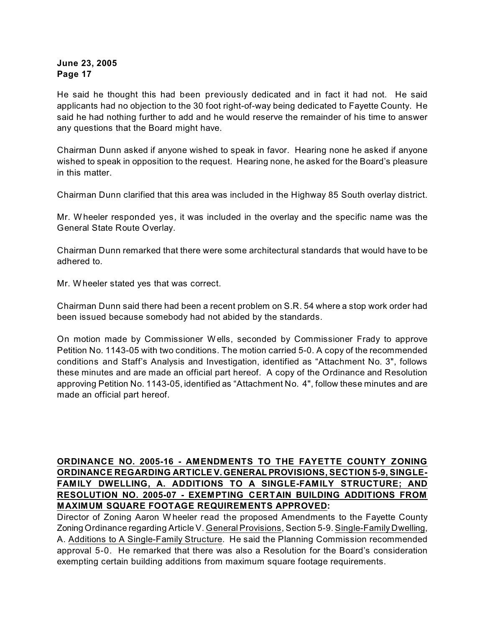He said he thought this had been previously dedicated and in fact it had not. He said applicants had no objection to the 30 foot right-of-way being dedicated to Fayette County. He said he had nothing further to add and he would reserve the remainder of his time to answer any questions that the Board might have.

Chairman Dunn asked if anyone wished to speak in favor. Hearing none he asked if anyone wished to speak in opposition to the request. Hearing none, he asked for the Board's pleasure in this matter.

Chairman Dunn clarified that this area was included in the Highway 85 South overlay district.

Mr. W heeler responded yes, it was included in the overlay and the specific name was the General State Route Overlay.

Chairman Dunn remarked that there were some architectural standards that would have to be adhered to.

Mr. W heeler stated yes that was correct.

Chairman Dunn said there had been a recent problem on S.R. 54 where a stop work order had been issued because somebody had not abided by the standards.

On motion made by Commissioner W ells, seconded by Commissioner Frady to approve Petition No. 1143-05 with two conditions. The motion carried 5-0. A copy of the recommended conditions and Staff's Analysis and Investigation, identified as "Attachment No. 3", follows these minutes and are made an official part hereof. A copy of the Ordinance and Resolution approving Petition No. 1143-05, identified as "Attachment No. 4", follow these minutes and are made an official part hereof.

## **ORDINANCE NO. 2005-16 - AMENDMENTS TO THE FAYETTE COUNTY ZONING ORDINANCE REGARDING ARTICLE V. GENERAL PROVISIONS, SECTION 5-9, SINGLE-FAMILY DWELLING, A. ADDITIONS TO A SINGLE-FAMILY STRUCTURE; AND RESOLUTION NO. 2005-07 - EXEMPTING CERTAIN BUILDING ADDITIONS FROM MAXIMUM SQUARE FOOTAGE REQUIREMENTS APPROVED:**

Director of Zoning Aaron W heeler read the proposed Amendments to the Fayette County Zoning Ordinance regarding Article V. General Provisions, Section 5-9. Single-Family Dwelling, A. Additions to A Single-Family Structure. He said the Planning Commission recommended approval 5-0. He remarked that there was also a Resolution for the Board's consideration exempting certain building additions from maximum square footage requirements.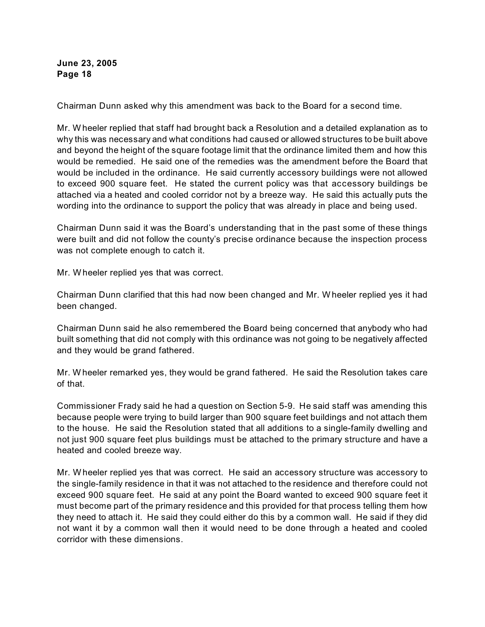Chairman Dunn asked why this amendment was back to the Board for a second time.

Mr. W heeler replied that staff had brought back a Resolution and a detailed explanation as to why this was necessary and what conditions had caused or allowed structures to be built above and beyond the height of the square footage limit that the ordinance limited them and how this would be remedied. He said one of the remedies was the amendment before the Board that would be included in the ordinance. He said currently accessory buildings were not allowed to exceed 900 square feet. He stated the current policy was that accessory buildings be attached via a heated and cooled corridor not by a breeze way. He said this actually puts the wording into the ordinance to support the policy that was already in place and being used.

Chairman Dunn said it was the Board's understanding that in the past some of these things were built and did not follow the county's precise ordinance because the inspection process was not complete enough to catch it.

Mr. W heeler replied yes that was correct.

Chairman Dunn clarified that this had now been changed and Mr. W heeler replied yes it had been changed.

Chairman Dunn said he also remembered the Board being concerned that anybody who had built something that did not comply with this ordinance was not going to be negatively affected and they would be grand fathered.

Mr. W heeler remarked yes, they would be grand fathered. He said the Resolution takes care of that.

Commissioner Frady said he had a question on Section 5-9. He said staff was amending this because people were trying to build larger than 900 square feet buildings and not attach them to the house. He said the Resolution stated that all additions to a single-family dwelling and not just 900 square feet plus buildings must be attached to the primary structure and have a heated and cooled breeze way.

Mr. W heeler replied yes that was correct. He said an accessory structure was accessory to the single-family residence in that it was not attached to the residence and therefore could not exceed 900 square feet. He said at any point the Board wanted to exceed 900 square feet it must become part of the primary residence and this provided for that process telling them how they need to attach it. He said they could either do this by a common wall. He said if they did not want it by a common wall then it would need to be done through a heated and cooled corridor with these dimensions.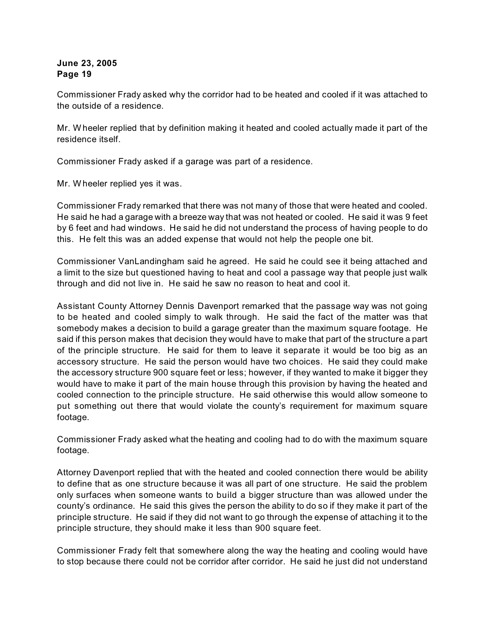Commissioner Frady asked why the corridor had to be heated and cooled if it was attached to the outside of a residence.

Mr. W heeler replied that by definition making it heated and cooled actually made it part of the residence itself.

Commissioner Frady asked if a garage was part of a residence.

Mr. W heeler replied yes it was.

Commissioner Frady remarked that there was not many of those that were heated and cooled. He said he had a garage with a breeze way that was not heated or cooled. He said it was 9 feet by 6 feet and had windows. He said he did not understand the process of having people to do this. He felt this was an added expense that would not help the people one bit.

Commissioner VanLandingham said he agreed. He said he could see it being attached and a limit to the size but questioned having to heat and cool a passage way that people just walk through and did not live in. He said he saw no reason to heat and cool it.

Assistant County Attorney Dennis Davenport remarked that the passage way was not going to be heated and cooled simply to walk through. He said the fact of the matter was that somebody makes a decision to build a garage greater than the maximum square footage. He said if this person makes that decision they would have to make that part of the structure a part of the principle structure. He said for them to leave it separate it would be too big as an accessory structure. He said the person would have two choices. He said they could make the accessory structure 900 square feet or less; however, if they wanted to make it bigger they would have to make it part of the main house through this provision by having the heated and cooled connection to the principle structure. He said otherwise this would allow someone to put something out there that would violate the county's requirement for maximum square footage.

Commissioner Frady asked what the heating and cooling had to do with the maximum square footage.

Attorney Davenport replied that with the heated and cooled connection there would be ability to define that as one structure because it was all part of one structure. He said the problem only surfaces when someone wants to build a bigger structure than was allowed under the county's ordinance. He said this gives the person the ability to do so if they make it part of the principle structure. He said if they did not want to go through the expense of attaching it to the principle structure, they should make it less than 900 square feet.

Commissioner Frady felt that somewhere along the way the heating and cooling would have to stop because there could not be corridor after corridor. He said he just did not understand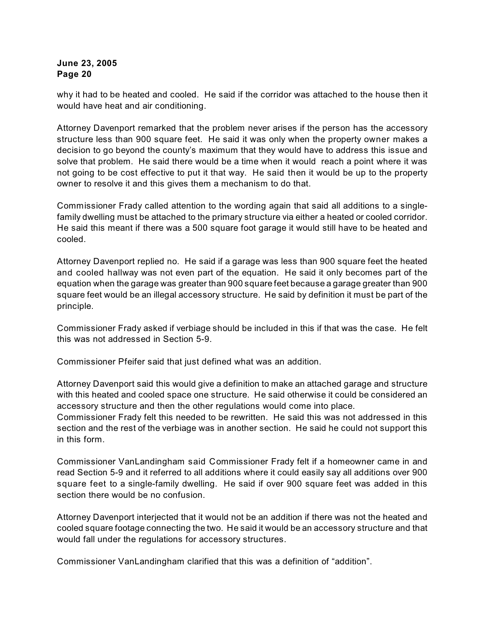why it had to be heated and cooled. He said if the corridor was attached to the house then it would have heat and air conditioning.

Attorney Davenport remarked that the problem never arises if the person has the accessory structure less than 900 square feet. He said it was only when the property owner makes a decision to go beyond the county's maximum that they would have to address this issue and solve that problem. He said there would be a time when it would reach a point where it was not going to be cost effective to put it that way. He said then it would be up to the property owner to resolve it and this gives them a mechanism to do that.

Commissioner Frady called attention to the wording again that said all additions to a singlefamily dwelling must be attached to the primary structure via either a heated or cooled corridor. He said this meant if there was a 500 square foot garage it would still have to be heated and cooled.

Attorney Davenport replied no. He said if a garage was less than 900 square feet the heated and cooled hallway was not even part of the equation. He said it only becomes part of the equation when the garage was greater than 900 square feet because a garage greater than 900 square feet would be an illegal accessory structure. He said by definition it must be part of the principle.

Commissioner Frady asked if verbiage should be included in this if that was the case. He felt this was not addressed in Section 5-9.

Commissioner Pfeifer said that just defined what was an addition.

Attorney Davenport said this would give a definition to make an attached garage and structure with this heated and cooled space one structure. He said otherwise it could be considered an accessory structure and then the other regulations would come into place.

Commissioner Frady felt this needed to be rewritten. He said this was not addressed in this section and the rest of the verbiage was in another section. He said he could not support this in this form.

Commissioner VanLandingham said Commissioner Frady felt if a homeowner came in and read Section 5-9 and it referred to all additions where it could easily say all additions over 900 square feet to a single-family dwelling. He said if over 900 square feet was added in this section there would be no confusion.

Attorney Davenport interjected that it would not be an addition if there was not the heated and cooled square footage connecting the two. He said it would be an accessory structure and that would fall under the regulations for accessory structures.

Commissioner VanLandingham clarified that this was a definition of "addition".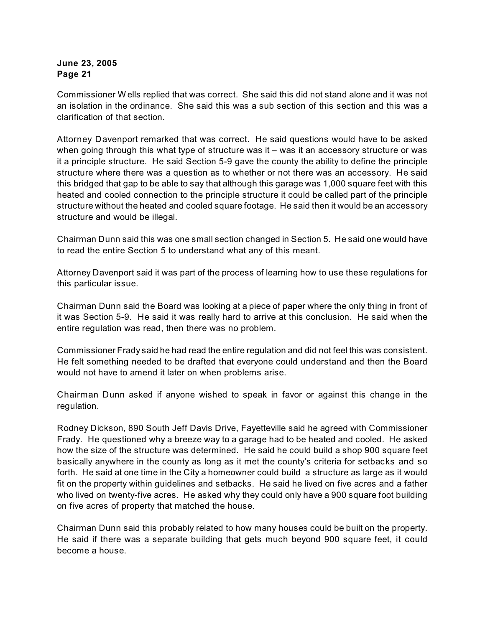Commissioner W ells replied that was correct. She said this did not stand alone and it was not an isolation in the ordinance. She said this was a sub section of this section and this was a clarification of that section.

Attorney Davenport remarked that was correct. He said questions would have to be asked when going through this what type of structure was it - was it an accessory structure or was it a principle structure. He said Section 5-9 gave the county the ability to define the principle structure where there was a question as to whether or not there was an accessory. He said this bridged that gap to be able to say that although this garage was 1,000 square feet with this heated and cooled connection to the principle structure it could be called part of the principle structure without the heated and cooled square footage. He said then it would be an accessory structure and would be illegal.

Chairman Dunn said this was one small section changed in Section 5. He said one would have to read the entire Section 5 to understand what any of this meant.

Attorney Davenport said it was part of the process of learning how to use these regulations for this particular issue.

Chairman Dunn said the Board was looking at a piece of paper where the only thing in front of it was Section 5-9. He said it was really hard to arrive at this conclusion. He said when the entire regulation was read, then there was no problem.

Commissioner Frady said he had read the entire regulation and did not feel this was consistent. He felt something needed to be drafted that everyone could understand and then the Board would not have to amend it later on when problems arise.

Chairman Dunn asked if anyone wished to speak in favor or against this change in the regulation.

Rodney Dickson, 890 South Jeff Davis Drive, Fayetteville said he agreed with Commissioner Frady. He questioned why a breeze way to a garage had to be heated and cooled. He asked how the size of the structure was determined. He said he could build a shop 900 square feet basically anywhere in the county as long as it met the county's criteria for setbacks and so forth. He said at one time in the City a homeowner could build a structure as large as it would fit on the property within guidelines and setbacks. He said he lived on five acres and a father who lived on twenty-five acres. He asked why they could only have a 900 square foot building on five acres of property that matched the house.

Chairman Dunn said this probably related to how many houses could be built on the property. He said if there was a separate building that gets much beyond 900 square feet, it could become a house.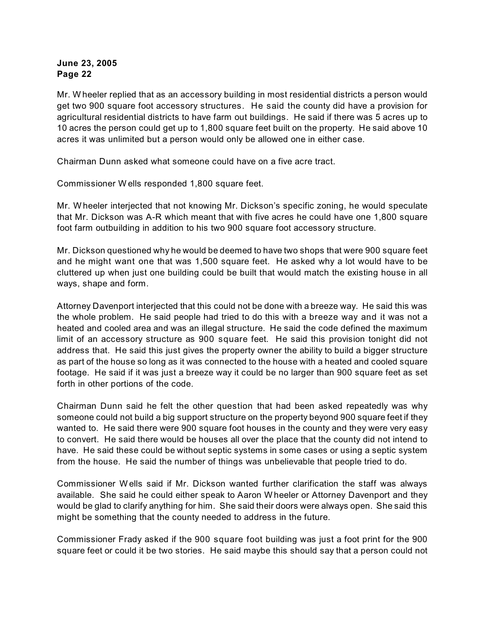Mr. W heeler replied that as an accessory building in most residential districts a person would get two 900 square foot accessory structures. He said the county did have a provision for agricultural residential districts to have farm out buildings. He said if there was 5 acres up to 10 acres the person could get up to 1,800 square feet built on the property. He said above 10 acres it was unlimited but a person would only be allowed one in either case.

Chairman Dunn asked what someone could have on a five acre tract.

Commissioner W ells responded 1,800 square feet.

Mr. W heeler interjected that not knowing Mr. Dickson's specific zoning, he would speculate that Mr. Dickson was A-R which meant that with five acres he could have one 1,800 square foot farm outbuilding in addition to his two 900 square foot accessory structure.

Mr. Dickson questioned why he would be deemed to have two shops that were 900 square feet and he might want one that was 1,500 square feet. He asked why a lot would have to be cluttered up when just one building could be built that would match the existing house in all ways, shape and form.

Attorney Davenport interjected that this could not be done with a breeze way. He said this was the whole problem. He said people had tried to do this with a breeze way and it was not a heated and cooled area and was an illegal structure. He said the code defined the maximum limit of an accessory structure as 900 square feet. He said this provision tonight did not address that. He said this just gives the property owner the ability to build a bigger structure as part of the house so long as it was connected to the house with a heated and cooled square footage. He said if it was just a breeze way it could be no larger than 900 square feet as set forth in other portions of the code.

Chairman Dunn said he felt the other question that had been asked repeatedly was why someone could not build a big support structure on the property beyond 900 square feet if they wanted to. He said there were 900 square foot houses in the county and they were very easy to convert. He said there would be houses all over the place that the county did not intend to have. He said these could be without septic systems in some cases or using a septic system from the house. He said the number of things was unbelievable that people tried to do.

Commissioner W ells said if Mr. Dickson wanted further clarification the staff was always available. She said he could either speak to Aaron W heeler or Attorney Davenport and they would be glad to clarify anything for him. She said their doors were always open. She said this might be something that the county needed to address in the future.

Commissioner Frady asked if the 900 square foot building was just a foot print for the 900 square feet or could it be two stories. He said maybe this should say that a person could not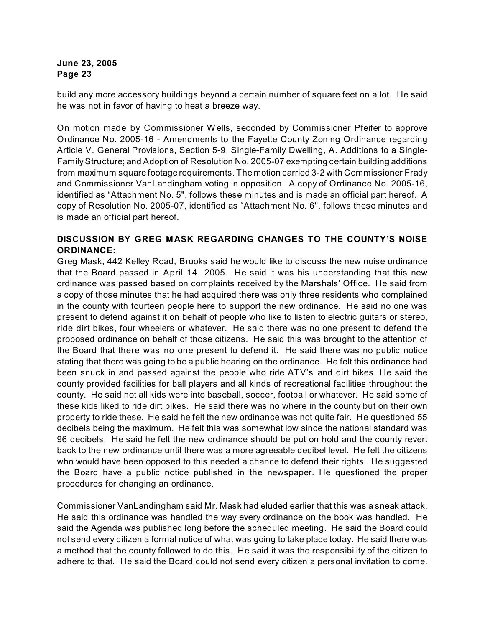build any more accessory buildings beyond a certain number of square feet on a lot. He said he was not in favor of having to heat a breeze way.

On motion made by Commissioner W ells, seconded by Commissioner Pfeifer to approve Ordinance No. 2005-16 - Amendments to the Fayette County Zoning Ordinance regarding Article V. General Provisions, Section 5-9. Single-Family Dwelling, A. Additions to a Single-Family Structure; and Adoption of Resolution No. 2005-07 exempting certain building additions from maximum square footage requirements. The motion carried 3-2 with Commissioner Frady and Commissioner VanLandingham voting in opposition. A copy of Ordinance No. 2005-16, identified as "Attachment No. 5", follows these minutes and is made an official part hereof. A copy of Resolution No. 2005-07, identified as "Attachment No. 6", follows these minutes and is made an official part hereof.

## **DISCUSSION BY GREG MASK REGARDING CHANGES TO THE COUNTY'S NOISE ORDINANCE:**

Greg Mask, 442 Kelley Road, Brooks said he would like to discuss the new noise ordinance that the Board passed in April 14, 2005. He said it was his understanding that this new ordinance was passed based on complaints received by the Marshals' Office. He said from a copy of those minutes that he had acquired there was only three residents who complained in the county with fourteen people here to support the new ordinance. He said no one was present to defend against it on behalf of people who like to listen to electric guitars or stereo, ride dirt bikes, four wheelers or whatever. He said there was no one present to defend the proposed ordinance on behalf of those citizens. He said this was brought to the attention of the Board that there was no one present to defend it. He said there was no public notice stating that there was going to be a public hearing on the ordinance. He felt this ordinance had been snuck in and passed against the people who ride ATV's and dirt bikes. He said the county provided facilities for ball players and all kinds of recreational facilities throughout the county. He said not all kids were into baseball, soccer, football or whatever. He said some of these kids liked to ride dirt bikes. He said there was no where in the county but on their own property to ride these. He said he felt the new ordinance was not quite fair. He questioned 55 decibels being the maximum. He felt this was somewhat low since the national standard was 96 decibels. He said he felt the new ordinance should be put on hold and the county revert back to the new ordinance until there was a more agreeable decibel level. He felt the citizens who would have been opposed to this needed a chance to defend their rights. He suggested the Board have a public notice published in the newspaper. He questioned the proper procedures for changing an ordinance.

Commissioner VanLandingham said Mr. Mask had eluded earlier that this was a sneak attack. He said this ordinance was handled the way every ordinance on the book was handled. He said the Agenda was published long before the scheduled meeting. He said the Board could not send every citizen a formal notice of what was going to take place today. He said there was a method that the county followed to do this. He said it was the responsibility of the citizen to adhere to that. He said the Board could not send every citizen a personal invitation to come.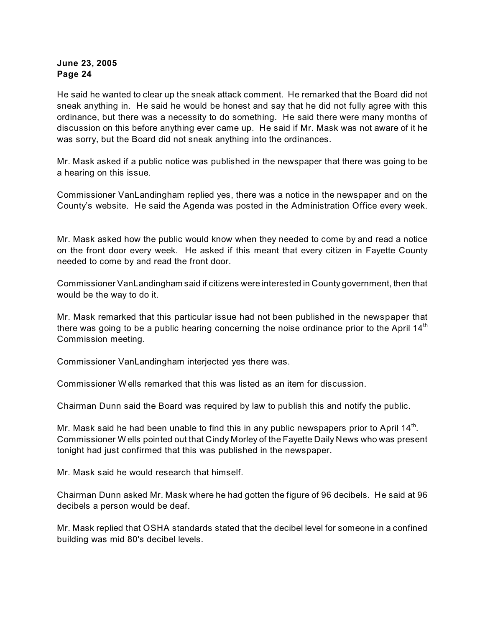He said he wanted to clear up the sneak attack comment. He remarked that the Board did not sneak anything in. He said he would be honest and say that he did not fully agree with this ordinance, but there was a necessity to do something. He said there were many months of discussion on this before anything ever came up. He said if Mr. Mask was not aware of it he was sorry, but the Board did not sneak anything into the ordinances.

Mr. Mask asked if a public notice was published in the newspaper that there was going to be a hearing on this issue.

Commissioner VanLandingham replied yes, there was a notice in the newspaper and on the County's website. He said the Agenda was posted in the Administration Office every week.

Mr. Mask asked how the public would know when they needed to come by and read a notice on the front door every week. He asked if this meant that every citizen in Fayette County needed to come by and read the front door.

Commissioner VanLandingham said if citizens were interested in County government, then that would be the way to do it.

Mr. Mask remarked that this particular issue had not been published in the newspaper that there was going to be a public hearing concerning the noise ordinance prior to the April  $14<sup>th</sup>$ Commission meeting.

Commissioner VanLandingham interjected yes there was.

Commissioner W ells remarked that this was listed as an item for discussion.

Chairman Dunn said the Board was required by law to publish this and notify the public.

Mr. Mask said he had been unable to find this in any public newspapers prior to April  $14<sup>th</sup>$ . Commissioner W ells pointed out that Cindy Morley of the Fayette Daily News who was present tonight had just confirmed that this was published in the newspaper.

Mr. Mask said he would research that himself.

Chairman Dunn asked Mr. Mask where he had gotten the figure of 96 decibels. He said at 96 decibels a person would be deaf.

Mr. Mask replied that OSHA standards stated that the decibel level for someone in a confined building was mid 80's decibel levels.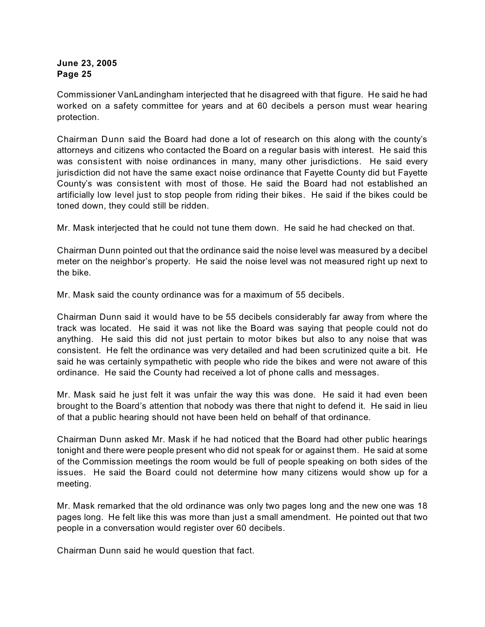Commissioner VanLandingham interjected that he disagreed with that figure. He said he had worked on a safety committee for years and at 60 decibels a person must wear hearing protection.

Chairman Dunn said the Board had done a lot of research on this along with the county's attorneys and citizens who contacted the Board on a regular basis with interest. He said this was consistent with noise ordinances in many, many other jurisdictions. He said every jurisdiction did not have the same exact noise ordinance that Fayette County did but Fayette County's was consistent with most of those. He said the Board had not established an artificially low level just to stop people from riding their bikes. He said if the bikes could be toned down, they could still be ridden.

Mr. Mask interjected that he could not tune them down. He said he had checked on that.

Chairman Dunn pointed out that the ordinance said the noise level was measured by a decibel meter on the neighbor's property. He said the noise level was not measured right up next to the bike.

Mr. Mask said the county ordinance was for a maximum of 55 decibels.

Chairman Dunn said it would have to be 55 decibels considerably far away from where the track was located. He said it was not like the Board was saying that people could not do anything. He said this did not just pertain to motor bikes but also to any noise that was consistent. He felt the ordinance was very detailed and had been scrutinized quite a bit. He said he was certainly sympathetic with people who ride the bikes and were not aware of this ordinance. He said the County had received a lot of phone calls and messages.

Mr. Mask said he just felt it was unfair the way this was done. He said it had even been brought to the Board's attention that nobody was there that night to defend it. He said in lieu of that a public hearing should not have been held on behalf of that ordinance.

Chairman Dunn asked Mr. Mask if he had noticed that the Board had other public hearings tonight and there were people present who did not speak for or against them. He said at some of the Commission meetings the room would be full of people speaking on both sides of the issues. He said the Board could not determine how many citizens would show up for a meeting.

Mr. Mask remarked that the old ordinance was only two pages long and the new one was 18 pages long. He felt like this was more than just a small amendment. He pointed out that two people in a conversation would register over 60 decibels.

Chairman Dunn said he would question that fact.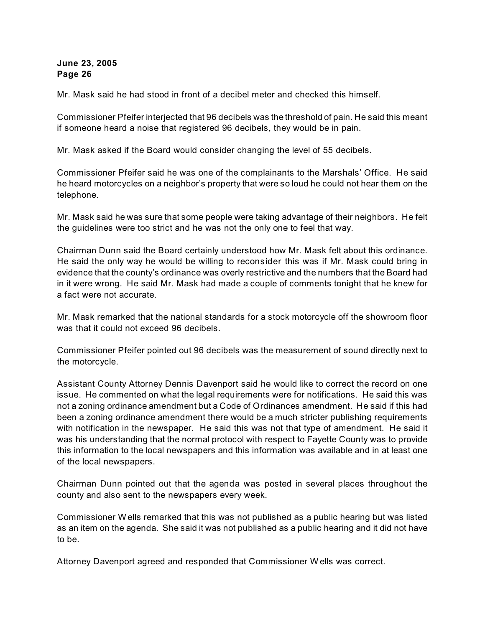Mr. Mask said he had stood in front of a decibel meter and checked this himself.

Commissioner Pfeifer interjected that 96 decibels was the threshold of pain. He said this meant if someone heard a noise that registered 96 decibels, they would be in pain.

Mr. Mask asked if the Board would consider changing the level of 55 decibels.

Commissioner Pfeifer said he was one of the complainants to the Marshals' Office. He said he heard motorcycles on a neighbor's property that were so loud he could not hear them on the telephone.

Mr. Mask said he was sure that some people were taking advantage of their neighbors. He felt the guidelines were too strict and he was not the only one to feel that way.

Chairman Dunn said the Board certainly understood how Mr. Mask felt about this ordinance. He said the only way he would be willing to reconsider this was if Mr. Mask could bring in evidence that the county's ordinance was overly restrictive and the numbers that the Board had in it were wrong. He said Mr. Mask had made a couple of comments tonight that he knew for a fact were not accurate.

Mr. Mask remarked that the national standards for a stock motorcycle off the showroom floor was that it could not exceed 96 decibels.

Commissioner Pfeifer pointed out 96 decibels was the measurement of sound directly next to the motorcycle.

Assistant County Attorney Dennis Davenport said he would like to correct the record on one issue. He commented on what the legal requirements were for notifications. He said this was not a zoning ordinance amendment but a Code of Ordinances amendment. He said if this had been a zoning ordinance amendment there would be a much stricter publishing requirements with notification in the newspaper. He said this was not that type of amendment. He said it was his understanding that the normal protocol with respect to Fayette County was to provide this information to the local newspapers and this information was available and in at least one of the local newspapers.

Chairman Dunn pointed out that the agenda was posted in several places throughout the county and also sent to the newspapers every week.

Commissioner W ells remarked that this was not published as a public hearing but was listed as an item on the agenda. She said it was not published as a public hearing and it did not have to be.

Attorney Davenport agreed and responded that Commissioner W ells was correct.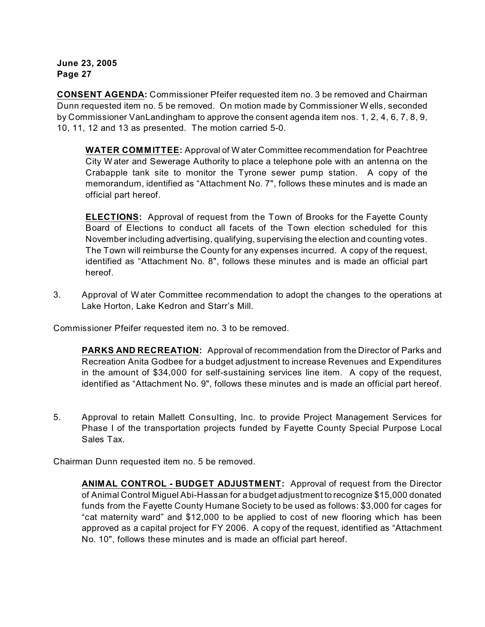**CONSENT AGENDA:** Commissioner Pfeifer requested item no. 3 be removed and Chairman Dunn requested item no. 5 be removed. On motion made by Commissioner W ells, seconded by Commissioner VanLandingham to approve the consent agenda item nos. 1, 2, 4, 6, 7, 8, 9, 10, 11, 12 and 13 as presented. The motion carried 5-0.

**WATER COMMITTEE:** Approval of W ater Committee recommendation for Peachtree City W ater and Sewerage Authority to place a telephone pole with an antenna on the Crabapple tank site to monitor the Tyrone sewer pump station. A copy of the memorandum, identified as "Attachment No. 7", follows these minutes and is made an official part hereof.

**ELECTIONS:** Approval of request from the Town of Brooks for the Fayette County Board of Elections to conduct all facets of the Town election scheduled for this November including advertising, qualifying, supervising the election and counting votes. The Town will reimburse the County for any expenses incurred. A copy of the request, identified as "Attachment No. 8", follows these minutes and is made an official part hereof.

3. Approval of W ater Committee recommendation to adopt the changes to the operations at Lake Horton, Lake Kedron and Starr's Mill.

Commissioner Pfeifer requested item no. 3 to be removed.

**PARKS AND RECREATION:** Approval of recommendation from the Director of Parks and Recreation Anita Godbee for a budget adjustment to increase Revenues and Expenditures in the amount of \$34,000 for self-sustaining services line item. A copy of the request, identified as "Attachment No. 9", follows these minutes and is made an official part hereof.

5. Approval to retain Mallett Consulting, Inc. to provide Project Management Services for Phase I of the transportation projects funded by Fayette County Special Purpose Local Sales Tax.

Chairman Dunn requested item no. 5 be removed.

**ANIMAL CONTROL - BUDGET ADJUSTMENT:** Approval of request from the Director of Animal Control Miguel Abi-Hassan for a budget adjustment to recognize \$15,000 donated funds from the Fayette County Humane Society to be used as follows: \$3,000 for cages for "cat maternity ward" and \$12,000 to be applied to cost of new flooring which has been approved as a capital project for FY 2006. A copy of the request, identified as "Attachment No. 10", follows these minutes and is made an official part hereof.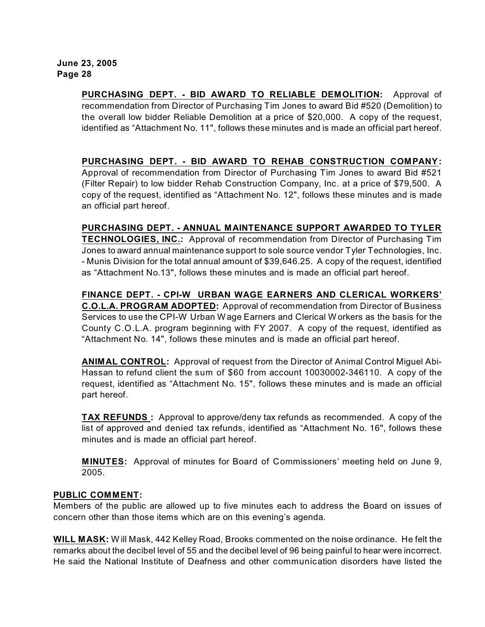**PURCHASING DEPT. - BID AWARD TO RELIABLE DEMOLITION:** Approval of recommendation from Director of Purchasing Tim Jones to award Bid #520 (Demolition) to the overall low bidder Reliable Demolition at a price of \$20,000. A copy of the request, identified as "Attachment No. 11", follows these minutes and is made an official part hereof.

#### **PURCHASING DEPT. - BID AWARD TO REHAB CONSTRUCTION COMPANY:**

Approval of recommendation from Director of Purchasing Tim Jones to award Bid #521 (Filter Repair) to low bidder Rehab Construction Company, Inc. at a price of \$79,500. A copy of the request, identified as "Attachment No. 12", follows these minutes and is made an official part hereof.

**PURCHASING DEPT. - ANNUAL MAINTENANCE SUPPORT AWARDED TO TYLER TECHNOLOGIES, INC.:** Approval of recommendation from Director of Purchasing Tim Jones to award annual maintenance support to sole source vendor Tyler Technologies, Inc. - Munis Division for the total annual amount of \$39,646.25. A copy of the request, identified as "Attachment No.13", follows these minutes and is made an official part hereof.

**FINANCE DEPT. - CPI-W URBAN WAGE EARNERS AND CLERICAL WORKERS' C.O.L.A. PROGRAM ADOPTED:** Approval of recommendation from Director of Business Services to use the CPI-W Urban W age Earners and Clerical W orkers as the basis for the County C.O.L.A. program beginning with FY 2007. A copy of the request, identified as "Attachment No. 14", follows these minutes and is made an official part hereof.

**ANIMAL CONTROL:** Approval of request from the Director of Animal Control Miguel Abi-Hassan to refund client the sum of \$60 from account 10030002-346110. A copy of the request, identified as "Attachment No. 15", follows these minutes and is made an official part hereof.

**TAX REFUNDS :** Approval to approve/deny tax refunds as recommended. A copy of the list of approved and denied tax refunds, identified as "Attachment No. 16", follows these minutes and is made an official part hereof.

**MINUTES:** Approval of minutes for Board of Commissioners' meeting held on June 9, 2005.

#### **PUBLIC COMMENT:**

Members of the public are allowed up to five minutes each to address the Board on issues of concern other than those items which are on this evening's agenda.

**WILL MASK:** W ill Mask, 442 Kelley Road, Brooks commented on the noise ordinance.He felt the remarks about the decibel level of 55 and the decibel level of 96 being painful to hear were incorrect. He said the National Institute of Deafness and other communication disorders have listed the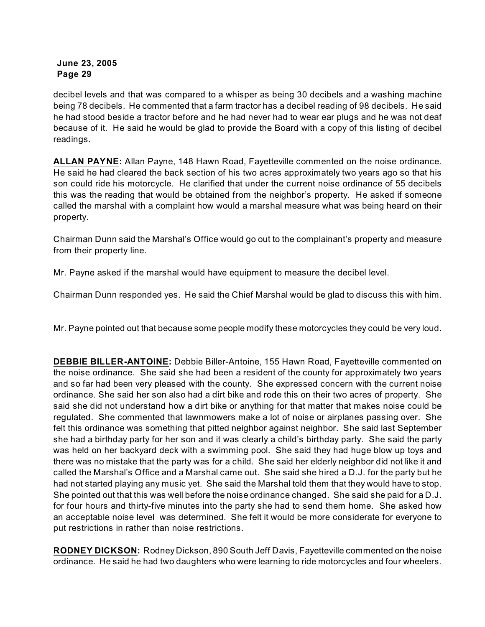decibel levels and that was compared to a whisper as being 30 decibels and a washing machine being 78 decibels. He commented that a farm tractor has a decibel reading of 98 decibels. He said he had stood beside a tractor before and he had never had to wear ear plugs and he was not deaf because of it. He said he would be glad to provide the Board with a copy of this listing of decibel readings.

**ALLAN PAYNE:** Allan Payne, 148 Hawn Road, Fayetteville commented on the noise ordinance. He said he had cleared the back section of his two acres approximately two years ago so that his son could ride his motorcycle. He clarified that under the current noise ordinance of 55 decibels this was the reading that would be obtained from the neighbor's property. He asked if someone called the marshal with a complaint how would a marshal measure what was being heard on their property.

Chairman Dunn said the Marshal's Office would go out to the complainant's property and measure from their property line.

Mr. Payne asked if the marshal would have equipment to measure the decibel level.

Chairman Dunn responded yes. He said the Chief Marshal would be glad to discuss this with him.

Mr. Payne pointed out that because some people modify these motorcycles they could be very loud.

**DEBBIE BILLER-ANTOINE:** Debbie Biller-Antoine, 155 Hawn Road, Fayetteville commented on the noise ordinance. She said she had been a resident of the county for approximately two years and so far had been very pleased with the county. She expressed concern with the current noise ordinance. She said her son also had a dirt bike and rode this on their two acres of property. She said she did not understand how a dirt bike or anything for that matter that makes noise could be regulated. She commented that lawnmowers make a lot of noise or airplanes passing over. She felt this ordinance was something that pitted neighbor against neighbor. She said last September she had a birthday party for her son and it was clearly a child's birthday party. She said the party was held on her backyard deck with a swimming pool. She said they had huge blow up toys and there was no mistake that the party was for a child. She said her elderly neighbor did not like it and called the Marshal's Office and a Marshal came out. She said she hired a D.J. for the party but he had not started playing any music yet. She said the Marshal told them that they would have to stop. She pointed out that this was well before the noise ordinance changed. She said she paid for a D.J. for four hours and thirty-five minutes into the party she had to send them home. She asked how an acceptable noise level was determined. She felt it would be more considerate for everyone to put restrictions in rather than noise restrictions.

**RODNEY DICKSON:** Rodney Dickson, 890 South Jeff Davis, Fayetteville commented on the noise ordinance. He said he had two daughters who were learning to ride motorcycles and four wheelers.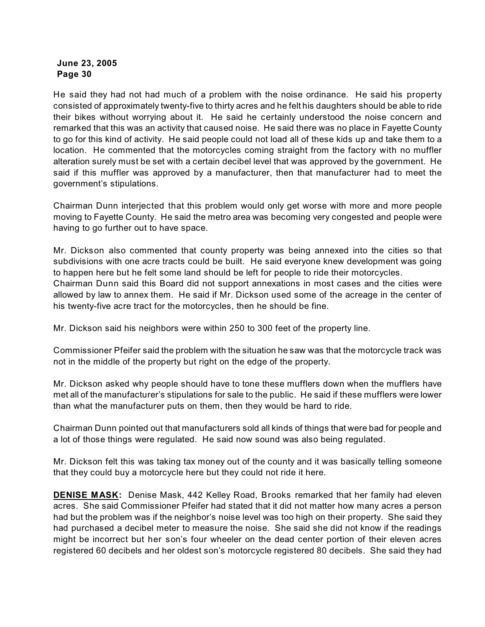He said they had not had much of a problem with the noise ordinance. He said his property consisted of approximately twenty-five to thirty acres and he felt his daughters should be able to ride their bikes without worrying about it. He said he certainly understood the noise concern and remarked that this was an activity that caused noise. He said there was no place in Fayette County to go for this kind of activity. He said people could not load all of these kids up and take them to a location. He commented that the motorcycles coming straight from the factory with no muffler alteration surely must be set with a certain decibel level that was approved by the government. He said if this muffler was approved by a manufacturer, then that manufacturer had to meet the government's stipulations.

Chairman Dunn interjected that this problem would only get worse with more and more people moving to Fayette County. He said the metro area was becoming very congested and people were having to go further out to have space.

Mr. Dickson also commented that county property was being annexed into the cities so that subdivisions with one acre tracts could be built. He said everyone knew development was going to happen here but he felt some land should be left for people to ride their motorcycles. Chairman Dunn said this Board did not support annexations in most cases and the cities were allowed by law to annex them. He said if Mr. Dickson used some of the acreage in the center of his twenty-five acre tract for the motorcycles, then he should be fine.

Mr. Dickson said his neighbors were within 250 to 300 feet of the property line.

Commissioner Pfeifer said the problem with the situation he saw was that the motorcycle track was not in the middle of the property but right on the edge of the property.

Mr. Dickson asked why people should have to tone these mufflers down when the mufflers have met all of the manufacturer's stipulations for sale to the public. He said if these mufflers were lower than what the manufacturer puts on them, then they would be hard to ride.

Chairman Dunn pointed out that manufacturers sold all kinds of things that were bad for people and a lot of those things were regulated. He said now sound was also being regulated.

Mr. Dickson felt this was taking tax money out of the county and it was basically telling someone that they could buy a motorcycle here but they could not ride it here.

**DENISE MASK:** Denise Mask, 442 Kelley Road, Brooks remarked that her family had eleven acres. She said Commissioner Pfeifer had stated that it did not matter how many acres a person had but the problem was if the neighbor's noise level was too high on their property. She said they had purchased a decibel meter to measure the noise. She said she did not know if the readings might be incorrect but her son's four wheeler on the dead center portion of their eleven acres registered 60 decibels and her oldest son's motorcycle registered 80 decibels. She said they had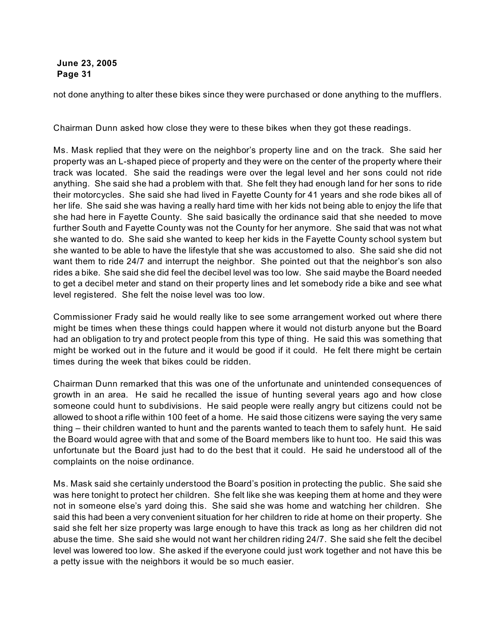not done anything to alter these bikes since they were purchased or done anything to the mufflers.

Chairman Dunn asked how close they were to these bikes when they got these readings.

Ms. Mask replied that they were on the neighbor's property line and on the track. She said her property was an L-shaped piece of property and they were on the center of the property where their track was located. She said the readings were over the legal level and her sons could not ride anything. She said she had a problem with that. She felt they had enough land for her sons to ride their motorcycles. She said she had lived in Fayette County for 41 years and she rode bikes all of her life. She said she was having a really hard time with her kids not being able to enjoy the life that she had here in Fayette County. She said basically the ordinance said that she needed to move further South and Fayette County was not the County for her anymore. She said that was not what she wanted to do. She said she wanted to keep her kids in the Fayette County school system but she wanted to be able to have the lifestyle that she was accustomed to also. She said she did not want them to ride 24/7 and interrupt the neighbor. She pointed out that the neighbor's son also rides a bike. She said she did feel the decibel level was too low. She said maybe the Board needed to get a decibel meter and stand on their property lines and let somebody ride a bike and see what level registered. She felt the noise level was too low.

Commissioner Frady said he would really like to see some arrangement worked out where there might be times when these things could happen where it would not disturb anyone but the Board had an obligation to try and protect people from this type of thing. He said this was something that might be worked out in the future and it would be good if it could. He felt there might be certain times during the week that bikes could be ridden.

Chairman Dunn remarked that this was one of the unfortunate and unintended consequences of growth in an area. He said he recalled the issue of hunting several years ago and how close someone could hunt to subdivisions. He said people were really angry but citizens could not be allowed to shoot a rifle within 100 feet of a home. He said those citizens were saying the very same thing – their children wanted to hunt and the parents wanted to teach them to safely hunt. He said the Board would agree with that and some of the Board members like to hunt too. He said this was unfortunate but the Board just had to do the best that it could. He said he understood all of the complaints on the noise ordinance.

Ms. Mask said she certainly understood the Board's position in protecting the public. She said she was here tonight to protect her children. She felt like she was keeping them at home and they were not in someone else's yard doing this. She said she was home and watching her children. She said this had been a very convenient situation for her children to ride at home on their property. She said she felt her size property was large enough to have this track as long as her children did not abuse the time. She said she would not want her children riding 24/7. She said she felt the decibel level was lowered too low. She asked if the everyone could just work together and not have this be a petty issue with the neighbors it would be so much easier.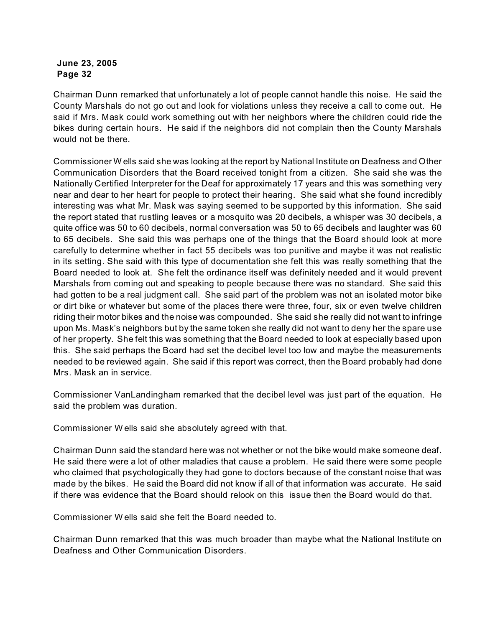Chairman Dunn remarked that unfortunately a lot of people cannot handle this noise. He said the County Marshals do not go out and look for violations unless they receive a call to come out. He said if Mrs. Mask could work something out with her neighbors where the children could ride the bikes during certain hours. He said if the neighbors did not complain then the County Marshals would not be there.

Commissioner W ells said she was looking at the report by National Institute on Deafness and Other Communication Disorders that the Board received tonight from a citizen. She said she was the Nationally Certified Interpreter for the Deaf for approximately 17 years and this was something very near and dear to her heart for people to protect their hearing. She said what she found incredibly interesting was what Mr. Mask was saying seemed to be supported by this information. She said the report stated that rustling leaves or a mosquito was 20 decibels, a whisper was 30 decibels, a quite office was 50 to 60 decibels, normal conversation was 50 to 65 decibels and laughter was 60 to 65 decibels. She said this was perhaps one of the things that the Board should look at more carefully to determine whether in fact 55 decibels was too punitive and maybe it was not realistic in its setting. She said with this type of documentation she felt this was really something that the Board needed to look at. She felt the ordinance itself was definitely needed and it would prevent Marshals from coming out and speaking to people because there was no standard. She said this had gotten to be a real judgment call. She said part of the problem was not an isolated motor bike or dirt bike or whatever but some of the places there were three, four, six or even twelve children riding their motor bikes and the noise was compounded. She said she really did not want to infringe upon Ms. Mask's neighbors but by the same token she really did not want to deny her the spare use of her property. She felt this was something that the Board needed to look at especially based upon this. She said perhaps the Board had set the decibel level too low and maybe the measurements needed to be reviewed again. She said if this report was correct, then the Board probably had done Mrs. Mask an in service.

Commissioner VanLandingham remarked that the decibel level was just part of the equation. He said the problem was duration.

Commissioner W ells said she absolutely agreed with that.

Chairman Dunn said the standard here was not whether or not the bike would make someone deaf. He said there were a lot of other maladies that cause a problem. He said there were some people who claimed that psychologically they had gone to doctors because of the constant noise that was made by the bikes. He said the Board did not know if all of that information was accurate. He said if there was evidence that the Board should relook on this issue then the Board would do that.

Commissioner W ells said she felt the Board needed to.

Chairman Dunn remarked that this was much broader than maybe what the National Institute on Deafness and Other Communication Disorders.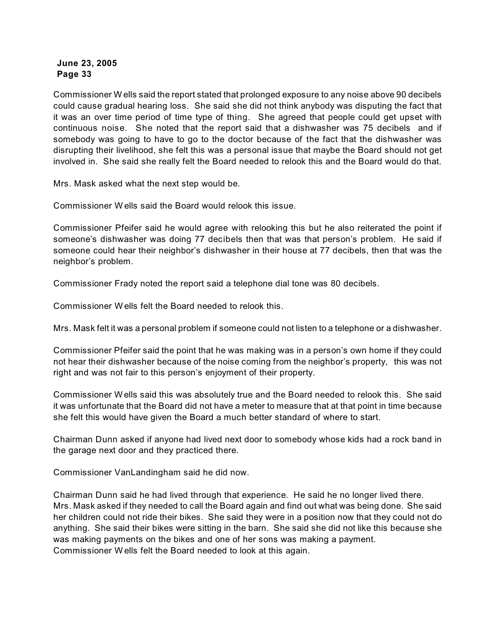Commissioner W ells said the report stated that prolonged exposure to any noise above 90 decibels could cause gradual hearing loss. She said she did not think anybody was disputing the fact that it was an over time period of time type of thing. She agreed that people could get upset with continuous noise. She noted that the report said that a dishwasher was 75 decibels and if somebody was going to have to go to the doctor because of the fact that the dishwasher was disrupting their livelihood, she felt this was a personal issue that maybe the Board should not get involved in. She said she really felt the Board needed to relook this and the Board would do that.

Mrs. Mask asked what the next step would be.

Commissioner W ells said the Board would relook this issue.

Commissioner Pfeifer said he would agree with relooking this but he also reiterated the point if someone's dishwasher was doing 77 decibels then that was that person's problem. He said if someone could hear their neighbor's dishwasher in their house at 77 decibels, then that was the neighbor's problem.

Commissioner Frady noted the report said a telephone dial tone was 80 decibels.

Commissioner W ells felt the Board needed to relook this.

Mrs. Mask felt it was a personal problem if someone could not listen to a telephone or a dishwasher.

Commissioner Pfeifer said the point that he was making was in a person's own home if they could not hear their dishwasher because of the noise coming from the neighbor's property, this was not right and was not fair to this person's enjoyment of their property.

Commissioner W ells said this was absolutely true and the Board needed to relook this. She said it was unfortunate that the Board did not have a meter to measure that at that point in time because she felt this would have given the Board a much better standard of where to start.

Chairman Dunn asked if anyone had lived next door to somebody whose kids had a rock band in the garage next door and they practiced there.

Commissioner VanLandingham said he did now.

Chairman Dunn said he had lived through that experience. He said he no longer lived there. Mrs. Mask asked if they needed to call the Board again and find out what was being done. She said her children could not ride their bikes. She said they were in a position now that they could not do anything. She said their bikes were sitting in the barn. She said she did not like this because she was making payments on the bikes and one of her sons was making a payment. Commissioner W ells felt the Board needed to look at this again.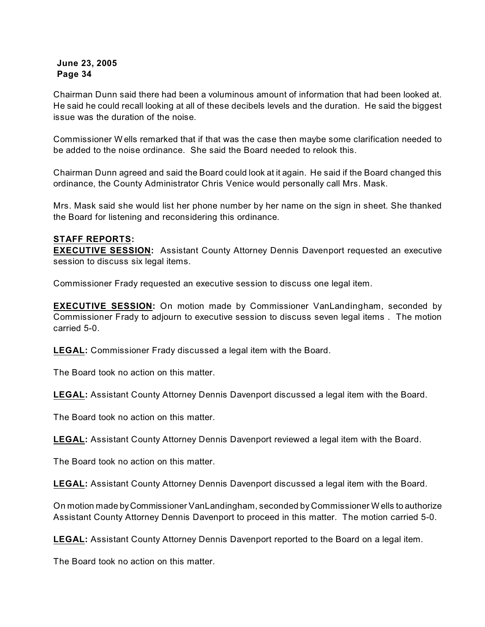Chairman Dunn said there had been a voluminous amount of information that had been looked at. He said he could recall looking at all of these decibels levels and the duration. He said the biggest issue was the duration of the noise.

Commissioner W ells remarked that if that was the case then maybe some clarification needed to be added to the noise ordinance. She said the Board needed to relook this.

Chairman Dunn agreed and said the Board could look at it again. He said if the Board changed this ordinance, the County Administrator Chris Venice would personally call Mrs. Mask.

Mrs. Mask said she would list her phone number by her name on the sign in sheet. She thanked the Board for listening and reconsidering this ordinance.

#### **STAFF REPORTS:**

**EXECUTIVE SESSION:** Assistant County Attorney Dennis Davenport requested an executive session to discuss six legal items.

Commissioner Frady requested an executive session to discuss one legal item.

**EXECUTIVE SESSION:** On motion made by Commissioner VanLandingham, seconded by Commissioner Frady to adjourn to executive session to discuss seven legal items . The motion carried 5-0.

**LEGAL:** Commissioner Frady discussed a legal item with the Board.

The Board took no action on this matter.

**LEGAL:** Assistant County Attorney Dennis Davenport discussed a legal item with the Board.

The Board took no action on this matter.

**LEGAL:** Assistant County Attorney Dennis Davenport reviewed a legal item with the Board.

The Board took no action on this matter.

**LEGAL:** Assistant County Attorney Dennis Davenport discussed a legal item with the Board.

On motion made by Commissioner VanLandingham, seconded by Commissioner W ells to authorize Assistant County Attorney Dennis Davenport to proceed in this matter. The motion carried 5-0.

**LEGAL:** Assistant County Attorney Dennis Davenport reported to the Board on a legal item.

The Board took no action on this matter.